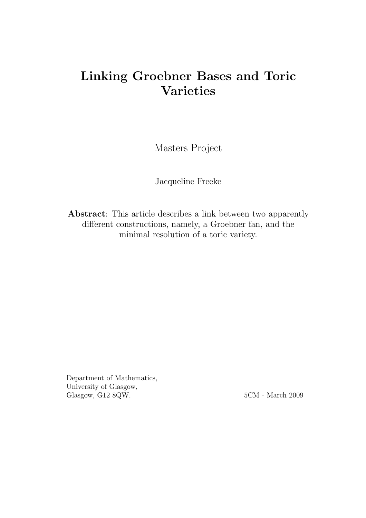# Linking Groebner Bases and Toric Varieties

Masters Project

Jacqueline Freeke

Abstract: This article describes a link between two apparently different constructions, namely, a Groebner fan, and the minimal resolution of a toric variety.

Department of Mathematics, University of Glasgow, Glasgow, G12 8QW. 5CM - March 2009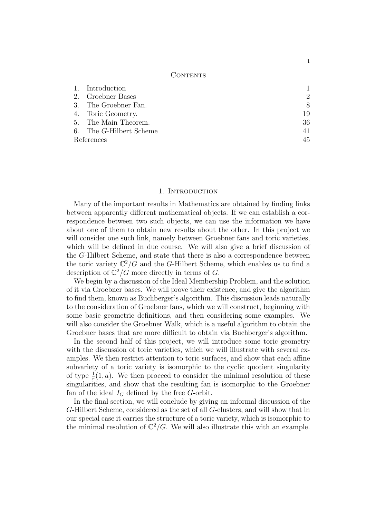## **CONTENTS**

|            | 1. Introduction         |                             |
|------------|-------------------------|-----------------------------|
|            | 2. Groebner Bases       | $\mathcal{D}_{\mathcal{L}}$ |
|            | 3. The Groebner Fan.    | 8                           |
|            | 4. Toric Geometry.      | 19                          |
|            | 5. The Main Theorem.    | 36                          |
|            | 6. The G-Hilbert Scheme | 41                          |
| References |                         | 45                          |

## 1. INTRODUCTION

Many of the important results in Mathematics are obtained by finding links between apparently different mathematical objects. If we can establish a correspondence between two such objects, we can use the information we have about one of them to obtain new results about the other. In this project we will consider one such link, namely between Groebner fans and toric varieties, which will be defined in due course. We will also give a brief discussion of the G-Hilbert Scheme, and state that there is also a correspondence between the toric variety  $\mathbb{C}^2/G$  and the G-Hilbert Scheme, which enables us to find a description of  $\mathbb{C}^2/G$  more directly in terms of G.

We begin by a discussion of the Ideal Membership Problem, and the solution of it via Groebner bases. We will prove their existence, and give the algorithm to find them, known as Buchberger's algorithm. This discussion leads naturally to the consideration of Groebner fans, which we will construct, beginning with some basic geometric definitions, and then considering some examples. We will also consider the Groebner Walk, which is a useful algorithm to obtain the Groebner bases that are more difficult to obtain via Buchberger's algorithm.

In the second half of this project, we will introduce some toric geometry with the discussion of toric varieties, which we will illustrate with several examples. We then restrict attention to toric surfaces, and show that each affine subvariety of a toric variety is isomorphic to the cyclic quotient singularity of type  $\frac{1}{r}(1, a)$ . We then proceed to consider the minimal resolution of these singularities, and show that the resulting fan is isomorphic to the Groebner fan of the ideal  $I_G$  defined by the free G-orbit.

In the final section, we will conclude by giving an informal discussion of the G-Hilbert Scheme, considered as the set of all G-clusters, and will show that in our special case it carries the structure of a toric variety, which is isomorphic to the minimal resolution of  $\mathbb{C}^2/G$ . We will also illustrate this with an example.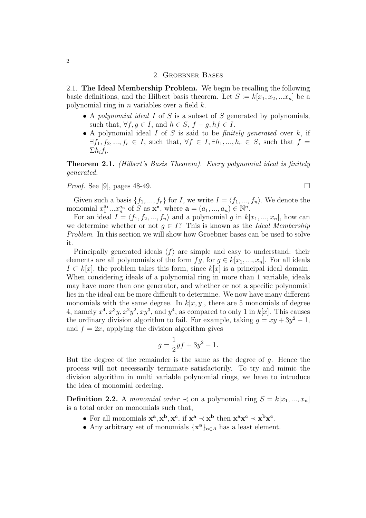### 2. Groebner Bases

2.1. The Ideal Membership Problem. We begin be recalling the following basic definitions, and the Hilbert basis theorem. Let  $S := k[x_1, x_2, ... x_n]$  be a polynomial ring in  $n$  variables over a field  $k$ .

- A polynomial ideal  $I$  of  $S$  is a subset of  $S$  generated by polynomials, such that,  $\forall f, g \in I$ , and  $h \in S$ ,  $f - g$ ,  $hf \in I$ .
- A polynomial ideal  $I$  of  $S$  is said to be *finitely generated* over  $k$ , if  $\exists f_1, f_2, ..., f_r \in I$ , such that,  $\forall f \in I, \exists h_1, ..., h_r \in S$ , such that  $f =$  $\sum h_i f_i$ .

**Theorem 2.1.** (Hilbert's Basis Theorem). Every polynomial ideal is finitely generated.

*Proof.* See [9], pages 48-49.

Given such a basis  $\{f_1, ..., f_r\}$  for I, we write  $I = \langle f_1, ..., f_n \rangle$ . We denote the monomial  $x_1^{a_1}...x_n^{a_n}$  of S as  $\mathbf{x}^{\mathbf{a}},$  where  $\mathbf{a} = (a_1, ..., a_n) \in \mathbb{N}^n$ .

For an ideal  $I = \langle f_1, f_2, ..., f_n \rangle$  and a polynomial g in  $k[x_1, ..., x_n]$ , how can we determine whether or not  $g \in I$ ? This is known as the Ideal Membership Problem. In this section we will show how Groebner bases can be used to solve it.

Principally generated ideals  $\langle f \rangle$  are simple and easy to understand: their elements are all polynomials of the form  $fg$ , for  $g \in k[x_1, ..., x_n]$ . For all ideals  $I \subset k[x]$ , the problem takes this form, since  $k[x]$  is a principal ideal domain. When considering ideals of a polynomial ring in more than 1 variable, ideals may have more than one generator, and whether or not a specific polynomial lies in the ideal can be more difficult to determine. We now have many different monomials with the same degree. In  $k[x, y]$ , there are 5 monomials of degree 4, namely  $x^4, x^3y, x^2y^2, xy^3$ , and  $y^4$ , as compared to only 1 in  $k[x]$ . This causes the ordinary division algorithm to fail. For example, taking  $g = xy + 3y^2 - 1$ , and  $f = 2x$ , applying the division algorithm gives

$$
g = \frac{1}{2}yf + 3y^2 - 1.
$$

But the degree of the remainder is the same as the degree of  $q$ . Hence the process will not necessarily terminate satisfactorily. To try and mimic the division algorithm in multi variable polynomial rings, we have to introduce the idea of monomial ordering.

**Definition 2.2.** A monomial order  $\prec$  on a polynomial ring  $S = k[x_1, ..., x_n]$ is a total order on monomials such that,

- For all monomials  $x^a, x^b, x^c$ , if  $x^a \prec x^b$  then  $x^a x^c \prec x^b x^c$ .
- Any arbitrary set of monomials  $\{x^a\}_{a \in A}$  has a least element.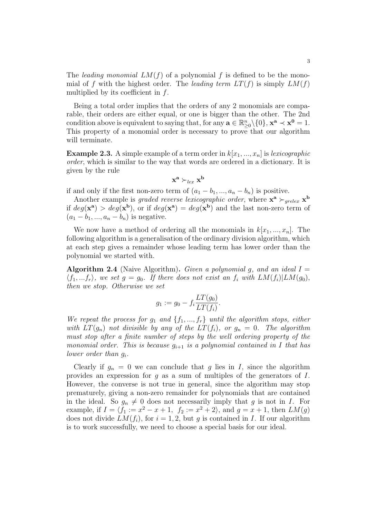The leading monomial  $LM(f)$  of a polynomial f is defined to be the monomial of f with the highest order. The leading term  $LT(f)$  is simply  $LM(f)$ multiplied by its coefficient in f.

Being a total order implies that the orders of any 2 monomials are comparable, their orders are either equal, or one is bigger than the other. The 2nd condition above is equivalent to saying that, for any  $\mathbf{a} \in \mathbb{R}^n_{\geq 0} \setminus \{0\}, \mathbf{x}^{\mathbf{a}} \prec \mathbf{x}^{\mathbf{0}} = 1$ . This property of a monomial order is necessary to prove that our algorithm will terminate.

**Example 2.3.** A simple example of a term order in  $k[x_1, ..., x_n]$  is lexicographic order, which is similar to the way that words are ordered in a dictionary. It is given by the rule

 $\boldsymbol{\mathrm{x}^a} \succ_{lex} \boldsymbol{\mathrm{x}^b}$ 

if and only if the first non-zero term of  $(a_1 - b_1, ..., a_n - b_n)$  is positive.

Another example is graded reverse lexicographic order, where  $\mathbf{x}^{\mathbf{a}} \succ_{grelex} \mathbf{x}^{\mathbf{b}}$ if  $deg(\mathbf{x}^{\mathbf{a}}) > deg(\mathbf{x}^{\mathbf{b}})$ , or if  $deg(\mathbf{x}^{\mathbf{a}}) = deg(\mathbf{x}^{\mathbf{b}})$  and the last non-zero term of  $(a_1 - b_1, ..., a_n - b_n)$  is negative.

We now have a method of ordering all the monomials in  $k[x_1, ..., x_n]$ . The following algorithm is a generalisation of the ordinary division algorithm, which at each step gives a remainder whose leading term has lower order than the polynomial we started with.

Algorithm 2.4 (Naive Algorithm). Given a polynomial g, and an ideal  $I =$  $\langle f_1, ... f_r \rangle$ , we set  $g = g_0$ . If there does not exist an  $f_i$  with  $LM(f_i)|LM(g_0)$ , then we stop. Otherwise we set

$$
g_1 := g_0 - f_i \frac{LT(g_0)}{LT(f_i)}.
$$

We repeat the process for  $g_1$  and  $\{f_1, ..., f_r\}$  until the algorithm stops, either with  $LT(g_n)$  not divisible by any of the  $LT(f_i)$ , or  $g_n = 0$ . The algorithm must stop after a finite number of steps by the well ordering property of the monomial order. This is because  $g_{i+1}$  is a polynomial contained in I that has lower order than  $q_i$ .

Clearly if  $q_n = 0$  we can conclude that q lies in I, since the algorithm provides an expression for g as a sum of multiples of the generators of I. However, the converse is not true in general, since the algorithm may stop prematurely, giving a non-zero remainder for polynomials that are contained in the ideal. So  $g_n \neq 0$  does not necessarily imply that g is not in I. For example, if  $I = \langle f_1 := x^2 - x + 1, f_2 := x^2 + 2 \rangle$ , and  $g = x + 1$ , then  $LM(g)$ does not divide  $LM(f_i)$ , for  $i = 1, 2$ , but g is contained in I. If our algorithm is to work successfully, we need to choose a special basis for our ideal.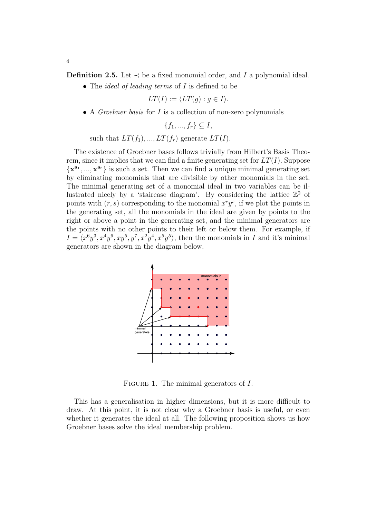**Definition 2.5.** Let  $\prec$  be a fixed monomial order, and I a polynomial ideal.

• The *ideal of leading terms* of I is defined to be

$$
LT(I) := \langle LT(g) : g \in I \rangle.
$$

• A *Groebner basis* for  $I$  is a collection of non-zero polynomials

$$
\{f_1, ..., f_r\} \subseteq I,
$$

such that  $LT(f_1), ..., LT(f_r)$  generate  $LT(I)$ .

The existence of Groebner bases follows trivially from Hilbert's Basis Theorem, since it implies that we can find a finite generating set for  $LT(I)$ . Suppose  ${x<sup>a<sub>1</sub>, ..., x<sup>a<sub>r</sub></sup>}</sup>$  is such a set. Then we can find a unique minimal generating set by eliminating monomials that are divisible by other monomials in the set. The minimal generating set of a monomial ideal in two variables can be illustrated nicely by a 'staircase diagram'. By considering the lattice  $\mathbb{Z}^2$  of points with  $(r, s)$  corresponding to the monomial  $x^r y^s$ , if we plot the points in the generating set, all the monomials in the ideal are given by points to the right or above a point in the generating set, and the minimal generators are the points with no other points to their left or below them. For example, if  $I = \langle x^6y^3, x^4y^6, xy^5, y^7, x^2y^4, x^5y^5 \rangle$ , then the monomials in I and it's minimal generators are shown in the diagram below.



FIGURE 1. The minimal generators of I.

This has a generalisation in higher dimensions, but it is more difficult to draw. At this point, it is not clear why a Groebner basis is useful, or even whether it generates the ideal at all. The following proposition shows us how Groebner bases solve the ideal membership problem.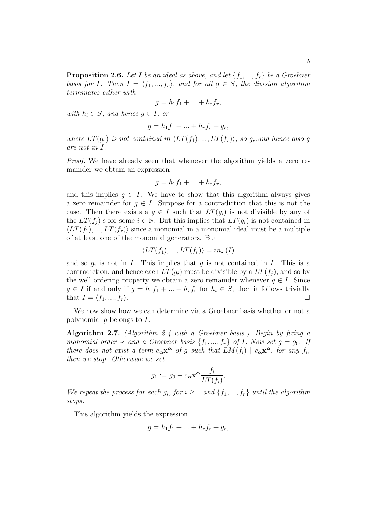**Proposition 2.6.** Let I be an ideal as above, and let  $\{f_1, ..., f_r\}$  be a Groebner basis for I. Then  $I = \langle f_1, ..., f_r \rangle$ , and for all  $q \in S$ , the division algorithm terminates either with

$$
g = h_1 f_1 + \dots + h_r f_r,
$$

with  $h_i \in S$ , and hence  $q \in I$ , or

$$
g = h_1 f_1 + \dots + h_r f_r + g_r,
$$

where  $LT(g_r)$  is not contained in  $\langle LT(f_1), ..., LT(f_r)\rangle$ , so  $g_r$ , and hence also g are not in I.

Proof. We have already seen that whenever the algorithm yields a zero remainder we obtain an expression

$$
g = h_1 f_1 + \dots + h_r f_r,
$$

and this implies  $q \in I$ . We have to show that this algorithm always gives a zero remainder for  $q \in I$ . Suppose for a contradiction that this is not the case. Then there exists a  $g \in I$  such that  $LT(q_i)$  is not divisible by any of the  $LT(f_i)$ 's for some  $i \in \mathbb{N}$ . But this implies that  $LT(g_i)$  is not contained in  $\langle LT(f_1), ..., LT(f_r)\rangle$  since a monomial in a monomial ideal must be a multiple of at least one of the monomial generators. But

$$
\langle LT(f_1), ..., LT(f_r) \rangle = in_{\prec}(I)
$$

and so  $g_i$  is not in I. This implies that g is not contained in I. This is a contradiction, and hence each  $LT(g_i)$  must be divisible by a  $LT(f_i)$ , and so by the well ordering property we obtain a zero remainder whenever  $q \in I$ . Since  $g \in I$  if and only if  $g = h_1 f_1 + ... + h_r f_r$  for  $h_i \in S$ , then it follows trivially that  $I = \langle f_1, ..., f_r \rangle$ .

We now show how we can determine via a Groebner basis whether or not a polynomial  $q$  belongs to  $I$ .

Algorithm 2.7. (Algorithm 2.4 with a Groebner basis.) Begin by fixing a monomial order  $\prec$  and a Groebner basis  $\{f_1, ..., f_r\}$  of I. Now set  $g = g_0$ . If there does not exist a term  $c_{\alpha} \mathbf{x}^{\alpha}$  of g such that  $LM(f_i) \mid c_{\alpha} \mathbf{x}^{\alpha}$ , for any  $f_i$ , then we stop. Otherwise we set

$$
g_1 := g_0 - c_{\alpha} \mathbf{x}^{\alpha} \frac{f_i}{LT(f_i)},
$$

We repeat the process for each  $g_i$ , for  $i \geq 1$  and  $\{f_1, ..., f_r\}$  until the algorithm stops.

This algorithm yields the expression

$$
g = h_1 f_1 + \dots + h_r f_r + g_r,
$$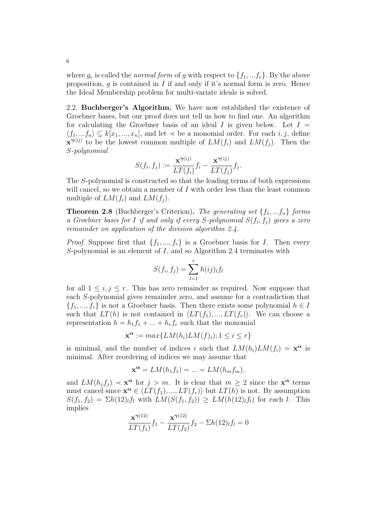where  $g_r$  is called the *normal form* of g with respect to  $\{f_1, \ldots, f_r\}$ . By the above proposition,  $q$  is contained in  $I$  if and only if it's normal form is zero. Hence the Ideal Membership problem for multi-variate ideals is solved.

2.2. Buchberger's Algorithm. We have now established the existence of Groebner bases, but our proof does not tell us how to find one. An algorithm for calculating the Groebner basis of an ideal I is given below. Let  $I =$  $\langle f_1, ... f_n \rangle \subseteq k[x_1, ..., x_n]$ , and let  $\prec$  be a monomial order. For each i, j, define  $\mathbf{x}^{\gamma(ij)}$  to be the lowest common multiple of  $LM(f_i)$  and  $LM(f_j)$ . Then the S-polynomial

$$
S(f_i, f_j) := \frac{\mathbf{x}^{\boldsymbol{\gamma}(ij)}}{LT(f_i)} f_i - \frac{\mathbf{x}^{\boldsymbol{\gamma}(ij)}}{LT(f_j)} f_j.
$$

The S-polynomial is constructed so that the leading terms of both expressions will cancel, so we obtain a member of I with order less than the least common multiple of  $LM(f_i)$  and  $LM(f_i)$ .

**Theorem 2.8** (Buchberger's Criterion). The generating set  $\{f_1, \ldots, f_n\}$  forms a Groebner basis for I if and only if every S-polynomial  $S(f_i, f_j)$  gives a zero remainder on application of the division algorithm 2.4.

*Proof.* Suppose first that  $\{f_1, ..., f_r\}$  is a Groebner basis for I. Then every S-polynomial is an element of  $I$ , and so Algorithm 2.4 terminates with

$$
S(f_i, f_j) = \sum_{l=1}^r h(ij)_l f_l
$$

for all  $1 \leq i, j \leq r$ . This has zero remainder as required. Now suppose that each S-polynomial gives remainder zero, and assume for a contradiction that  ${f_1, ..., f_r}$  is not a Groebner basis. Then there exists some polynomial  $h \in I$ such that  $LT(h)$  is not contained in  $\langle LT(f_1), ..., LT(f_r)\rangle$ . We can choose a representation  $h = h_1 f_1 + \ldots + h_r f_r$  such that the monomial

$$
\mathbf{x}^{\alpha} := \max\{LM(h_i)LM(f)_i); 1 \le i \le r\}
$$

is minimal, and the number of indices i such that  $LM(h_i)LM(f_i) = \mathbf{x}^{\alpha}$  is minimal. After reordering of indices we may assume that

$$
\mathbf{x}^{\alpha} = LM(h_1f_1) = \dots = LM(h_mf_m),
$$

and  $LM(h_jf_j) \prec \mathbf{x}^{\alpha}$  for  $j > m$ . It is clear that  $m \geq 2$  since the  $\mathbf{x}^{\alpha}$  terms must cancel since  $\mathbf{x}^{\alpha} \in \langle LT(f_1), ..., LT(f_r) \rangle$  but  $LT(h)$  is not. By assumption  $S(f_1, f_2) = \Sigma h(12) \iota f_1$  with  $LM(S(f_1, f_2)) \geq LM(h(12) \iota f_1)$  for each l. This implies

$$
\frac{\mathbf{x}^{\gamma(12)}}{LT(f_1)}f_1 - \frac{\mathbf{x}^{\gamma(12)}}{LT(f_2)}f_2 - \Sigma h(12)_l f_l = 0
$$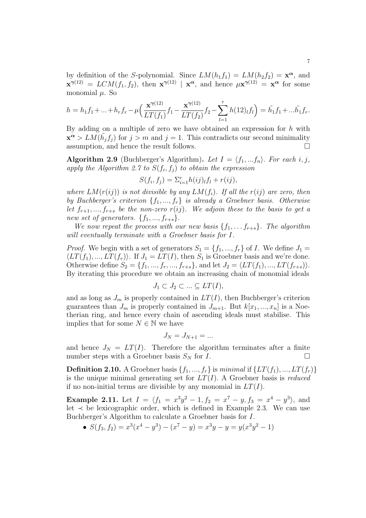by definition of the S-polynomial. Since  $LM(h_1f_1) = LM(h_2f_2) = \mathbf{x}^{\alpha}$ , and  $\mathbf{x}^{\gamma(12)} = \text{LCM}(f_1, f_2)$ , then  $\mathbf{x}^{\gamma(12)} \mid \mathbf{x}^{\alpha}$ , and hence  $\mu \mathbf{x}^{\gamma(12)} = \mathbf{x}^{\alpha}$  for some monomial  $\mu$ . So

$$
h = h_1 f_1 + \ldots + h_r f_r - \mu \left( \frac{\mathbf{x}^{\gamma(12)}}{LT(f_1)} f_1 - \frac{\mathbf{x}^{\gamma(12)}}{LT(f_2)} f_2 - \sum_{l=1}^r h(12)_l f_l \right) = \tilde{h_1} f_1 + \ldots + \tilde{h_1} f_r.
$$

By adding on a multiple of zero we have obtained an expression for  $h$  with  $\mathbf{x}^{\alpha} > LM(\tilde{h_j}f_j)$  for  $j > m$  and  $j = 1$ . This contradicts our second minimality assumption, and hence the result follows.  $\Box$ 

**Algorithm 2.9** (Buchberger's Algorithm). Let  $I = \langle f_1, ... f_n \rangle$ . For each i, j, apply the Algorithm 2.7 to  $S(f_i, f_j)$  to obtain the expression

$$
S(f_i, f_j) = \sum_{i=1}^r h(ij)_l f_l + r(ij),
$$

where  $LM(r(i))$  is not divisible by any  $LM(f_i)$ . If all the  $r(i)$  are zero, then by Buchberger's criterion  $\{f_1, ..., f_r\}$  is already a Groebner basis. Otherwise let  $f_{r+1},..., f_{r+s}$  be the non-zero  $r(ij)$ . We adjoin these to the basis to get a new set of generators.  $\{f_1, ..., f_{r+s}\}.$ 

We now repeat the process with our new basis  $\{f_1, \ldots, f_{r+s}\}$ . The algorithm will eventually terminate with a Groebner basis for I.

*Proof.* We begin with a set of generators  $S_1 = \{f_1, ..., f_r\}$  of *I*. We define  $J_1 =$  $\langle LT(f_1), ..., LT(f_r)\rangle$ . If  $J_1 = LT(I)$ , then  $S_1$  is Groebner basis and we're done. Otherwise define  $S_2 = \{f_1, ..., f_r, ..., f_{r+s}\}\$ , and let  $J_2 = \langle LT(f_1), ..., LT(f_{r+s})\rangle$ . By iterating this procedure we obtain an increasing chain of monomial ideals

$$
J_1 \subset J_2 \subset \ldots \subseteq LT(I),
$$

and as long as  $J_m$  is properly contained in  $LT(I)$ , then Buchberger's criterion guarantees than  $J_m$  is properly contained in  $J_{m+1}$ . But  $k[x_1, ..., x_n]$  is a Noetherian ring, and hence every chain of ascending ideals must stabilise. This implies that for some  $N \in \mathbb{N}$  we have

$$
J_N=J_{N+1}=\ldots
$$

and hence  $J_N = LT(I)$ . Therefore the algorithm terminates after a finite number steps with a Groebner basis  $S_N$  for I.

**Definition 2.10.** A Groebner basis  $\{f_1, ..., f_r\}$  is minimal if  $\{LT(f_1), ..., LT(f_r)\}$ is the unique minimal generating set for  $LT(I)$ . A Groebner basis is *reduced* if no non-initial terms are divisible by any monomial in  $LT(I)$ .

**Example 2.11.** Let  $I = \langle f_1 = x^3y^2 - 1, f_2 = x^7 - y, f_3 = x^4 - y^3 \rangle$ , and let  $\prec$  be lexicographic order, which is defined in Example 2.3. We can use Buchberger's Algorithm to calculate a Groebner basis for I.

•  $S(f_3, f_2) = x^3(x^4 - y^3) - (x^7 - y) = x^3y - y = y(x^3y^2 - 1)$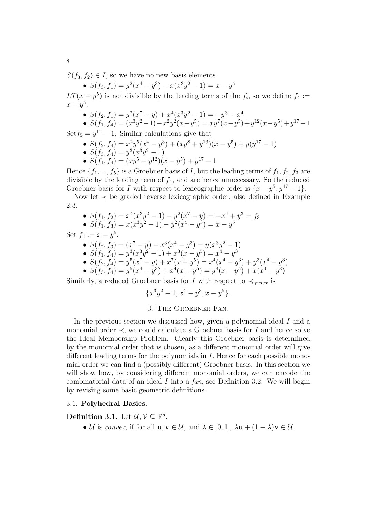$S(f_3, f_2) \in I$ , so we have no new basis elements.

• 
$$
S(f_3, f_1) = y^2(x^4 - y^3) - x(x^3y^2 - 1) = x - y^5
$$

 $LT(x - y^5)$  is not divisible by the leading terms of the  $f_i$ , so we define  $f_4 :=$  $x-y^5$ .

•  $S(f_2, f_1) = y^2(x^7 - y) + x^4(x^3y^2 - 1) = -y^3 - x^4$ 

• 
$$
S(f_1, f_4) = (x^3y^2 - 1) - x^2y^2(x - y^5) = xy^7(x - y^5) + y^{12}(x - y^5) + y^{17} - 1
$$
  
\n $\therefore$   $g_1^{17}$  1. Similar calculations give that

Set  $f_5 = y$ − 1. Similar calculations give that

- $S(f_2, f_4) = x^2y^5(x^4 y^3) + (xy^8 + y^{13})(x y^5) + y(y^{17} 1)$
- $S(f_3, f_4) = y^3(x^3y^2 1)$

• 
$$
S(f_1, f_4) = (xy^5 + y^{12})(x - y^5) + y^{17} - 1
$$

Hence  $\{f_1, ..., f_5\}$  is a Groebner basis of I, but the leading terms of  $f_1, f_2, f_3$  are divisible by the leading term of  $f_4$ , and are hence unnecessary. So the reduced Groebner basis for I with respect to lexicographic order is  $\{x - y^5, y^{17} - 1\}$ .

Now let  $\prec$  be graded reverse lexicographic order, also defined in Example 2.3.

•  $S(f_1, f_2) = x^4(x^3y^2 - 1) - y^2(x^7 - y) = -x^4 + y^3 = f_3$ •  $S(f_1, f_3) = x(x^3y^2 - 1) - y^2(x^4 - y^3) = x - y^5$ 

Set  $f_4 := x - y^5$ .

- $S(f_2, f_3) = (x^7 y) x^3(x^4 y^3) = y(x^3y^2 1)$
- $S(f_1, f_4) = y^3(x^3y^2 1) + x^3(x y^5) = x^4 y^3$

• 
$$
S(f_2, f_4) = y^5(x^7 - y) + x^7(x - y^5) = x^4(x^4 - y^3) + y^3(x^4 - y^3)
$$

• 
$$
S(f_3, f_4) = y^5(x^4 - y^3) + x^4(x - y^5) = y^3(x - y^5) + x(x^4 - y^3)
$$

Similarly, a reduced Groebner basis for I with respect to  $\prec_{grelex}$  is

$$
{x^3y^2 - 1, x^4 - y^3, x - y^5}.
$$

## 3. The Groebner Fan.

In the previous section we discussed how, given a polynomial ideal I and a monomial order  $\prec$ , we could calculate a Groebner basis for I and hence solve the Ideal Membership Problem. Clearly this Groebner basis is determined by the monomial order that is chosen, as a different monomial order will give different leading terms for the polynomials in I. Hence for each possible monomial order we can find a (possibly different) Groebner basis. In this section we will show how, by considering different monomial orders, we can encode the combinatorial data of an ideal  $I$  into a fan, see Definition 3.2. We will begin by revising some basic geometric definitions.

# 3.1. Polyhedral Basics.

Definition 3.1. Let  $\mathcal{U}, \mathcal{V} \subseteq \mathbb{R}^d$ .

• U is convex, if for all  $\mathbf{u}, \mathbf{v} \in \mathcal{U}$ , and  $\lambda \in [0, 1]$ ,  $\lambda \mathbf{u} + (1 - \lambda)\mathbf{v} \in \mathcal{U}$ .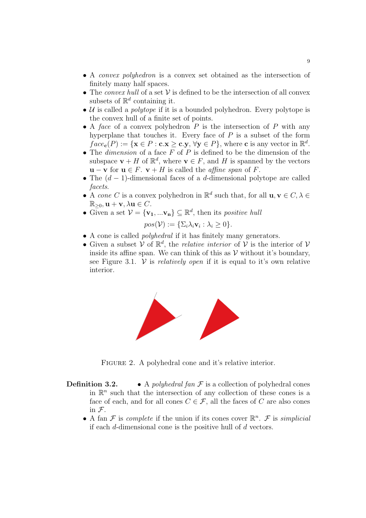- A convex polyhedron is a convex set obtained as the intersection of finitely many half spaces.
- The *convex hull* of a set  $V$  is defined to be the intersection of all convex subsets of  $\mathbb{R}^d$  containing it.
- $U$  is called a *polytope* if it is a bounded polyhedron. Every polytope is the convex hull of a finite set of points.
- A face of a convex polyhedron  $P$  is the intersection of  $P$  with any hyperplane that touches it. Every face of  $P$  is a subset of the form  $face_{\mathbf{c}}(P) := \{ \mathbf{x} \in P : \mathbf{c}.\mathbf{x} \geq \mathbf{c}.\mathbf{y}, \forall \mathbf{y} \in P \}$ , where **c** is any vector in  $\mathbb{R}^d$ .
- The *dimension* of a face  $F$  of  $P$  is defined to be the dimension of the subspace  $\mathbf{v} + H$  of  $\mathbb{R}^d$ , where  $\mathbf{v} \in F$ , and H is spanned by the vectors  $\mathbf{u} - \mathbf{v}$  for  $\mathbf{u} \in F$ .  $\mathbf{v} + H$  is called the *affine span* of F.
- The  $(d-1)$ -dimensional faces of a d-dimensional polytope are called facets.
- A cone C is a convex polyhedron in  $\mathbb{R}^d$  such that, for all  $\mathbf{u}, \mathbf{v} \in C, \lambda \in$  $\mathbb{R}_{\geq 0}$ ,  $\mathbf{u} + \mathbf{v}$ ,  $\lambda \mathbf{u} \in C$ .
- Given a set  $\mathcal{V} = {\mathbf{v}_1, ..., \mathbf{v}_n} \subseteq \mathbb{R}^d$ , then its *positive hull*

$$
pos(\mathcal{V}) := {\{\Sigma_i \lambda_i \mathbf{v}_i : \lambda_i \geq 0\}}.
$$

- A cone is called polyhedral if it has finitely many generators.
- Given a subset V of  $\mathbb{R}^d$ , the *relative interior* of V is the interior of V inside its affine span. We can think of this as  $V$  without it's boundary, see Figure 3.1.  $V$  is *relatively open* if it is equal to it's own relative interior.



FIGURE 2. A polyhedral cone and it's relative interior.

- **Definition 3.2.** A *polyhedral fan*  $\mathcal F$  is a collection of polyhedral cones in  $\mathbb{R}^n$  such that the intersection of any collection of these cones is a face of each, and for all cones  $C \in \mathcal{F}$ , all the faces of C are also cones in  $\mathcal{F}$ .
	- A fan  $\mathcal F$  is *complete* if the union if its cones cover  $\mathbb R^n$ .  $\mathcal F$  is *simplicial* if each d-dimensional cone is the positive hull of d vectors.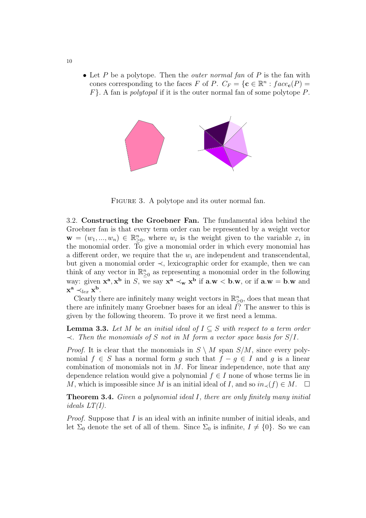• Let P be a polytope. Then the *outer normal fan* of P is the fan with cones corresponding to the faces F of P.  $C_F = \{c \in \mathbb{R}^n : face_c(P) =$ F}. A fan is polytopal if it is the outer normal fan of some polytope P.



FIGURE 3. A polytope and its outer normal fan.

3.2. Constructing the Groebner Fan. The fundamental idea behind the Groebner fan is that every term order can be represented by a weight vector  $\mathbf{w} = (w_1, ..., w_n) \in \mathbb{R}_{\geq 0}^n$ , where  $w_i$  is the weight given to the variable  $x_i$  in the monomial order. To give a monomial order in which every monomial has a different order, we require that the  $w_i$  are independent and transcendental, but given a monomial order  $\prec$ , lexicographic order for example, then we can think of any vector in  $\mathbb{R}^n_{\geq 0}$  as representing a monomial order in the following way: given  $\mathbf{x}^{\mathbf{a}}, \mathbf{x}^{\mathbf{b}}$  in S, we say  $\mathbf{x}^{\mathbf{a}} \prec_{\mathbf{w}} \mathbf{x}^{\mathbf{b}}$  if  $\mathbf{a}.\mathbf{w} < \mathbf{b}.\mathbf{w}$ , or if  $\mathbf{a}.\mathbf{w} = \mathbf{b}.\mathbf{w}$  and  $\mathbf{x}^{\mathbf{a}} \prec_{lex} \mathbf{x}^{\mathbf{b}}.$ 

Clearly there are infinitely many weight vectors in  $\mathbb{R}^n_{\geq 0}$ , does that mean that there are infinitely many Groebner bases for an ideal  $\bar{I}$ ? The answer to this is given by the following theorem. To prove it we first need a lemma.

**Lemma 3.3.** Let M be an initial ideal of  $I \subseteq S$  with respect to a term order  $\prec$ . Then the monomials of S not in M form a vector space basis for S/I.

*Proof.* It is clear that the monomials in  $S \setminus M$  span  $S/M$ , since every polynomial  $f \in S$  has a normal form g such that  $f - g \in I$  and g is a linear combination of monomials not in  $M$ . For linear independence, note that any dependence relation would give a polynomial  $f \in I$  none of whose terms lie in M, which is impossible since M is an initial ideal of I, and so  $in_{\prec}(f) \in M$ .  $\Box$ 

**Theorem 3.4.** Given a polynomial ideal  $I$ , there are only finitely many initial ideals LT(I).

Proof. Suppose that I is an ideal with an infinite number of initial ideals, and let  $\Sigma_0$  denote the set of all of them. Since  $\Sigma_0$  is infinite,  $I \neq \{0\}$ . So we can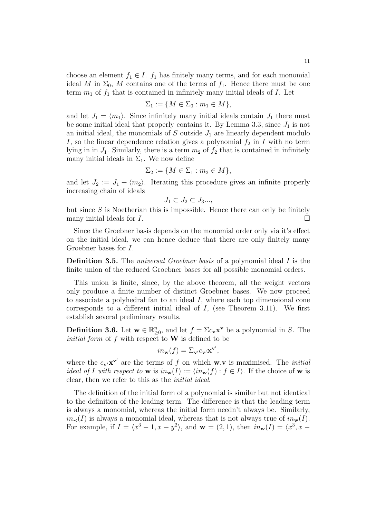choose an element  $f_1 \in I$ .  $f_1$  has finitely many terms, and for each monomial ideal M in  $\Sigma_0$ , M contains one of the terms of  $f_1$ . Hence there must be one term  $m_1$  of  $f_1$  that is contained in infinitely many initial ideals of I. Let

$$
\Sigma_1 := \{ M \in \Sigma_0 : m_1 \in M \},\
$$

and let  $J_1 = \langle m_1 \rangle$ . Since infinitely many initial ideals contain  $J_1$  there must be some initial ideal that properly contains it. By Lemma 3.3, since  $J_1$  is not an initial ideal, the monomials of  $S$  outside  $J_1$  are linearly dependent modulo I, so the linear dependence relation gives a polynomial  $f_2$  in I with no term lying in in  $J_1$ . Similarly, there is a term  $m_2$  of  $f_2$  that is contained in infinitely many initial ideals in  $\Sigma_1$ . We now define

$$
\Sigma_2 := \{ M \in \Sigma_1 : m_2 \in M \},\
$$

and let  $J_2 := J_1 + \langle m_2 \rangle$ . Iterating this procedure gives an infinite properly increasing chain of ideals

$$
J_1 \subset J_2 \subset J_3...
$$

but since  $S$  is Noetherian this is impossible. Hence there can only be finitely many initial ideals for  $I$ .

Since the Groebner basis depends on the monomial order only via it's effect on the initial ideal, we can hence deduce that there are only finitely many Groebner bases for I.

**Definition 3.5.** The *universal Groebner basis* of a polynomial ideal I is the finite union of the reduced Groebner bases for all possible monomial orders.

This union is finite, since, by the above theorem, all the weight vectors only produce a finite number of distinct Groebner bases. We now proceed to associate a polyhedral fan to an ideal I, where each top dimensional cone corresponds to a different initial ideal of  $I$ , (see Theorem 3.11). We first establish several preliminary results.

**Definition 3.6.** Let  $\mathbf{w} \in \mathbb{R}_{\geq 0}^n$ , and let  $f = \Sigma c_{\mathbf{v}} \mathbf{x}^{\mathbf{v}}$  be a polynomial in S. The *initial form* of f with respect to  $W$  is defined to be

$$
in_{\mathbf{w}}(f) = \sum_{\mathbf{v}'} c_{\mathbf{v}'} \mathbf{x}^{\mathbf{v}'},
$$

where the  $c_{\mathbf{v}'}\mathbf{x}^{\mathbf{v}'}$  are the terms of f on which **w**.v is maximised. The *initial ideal of I with respect to* **w** is  $in_{\mathbf{w}}(I) := \langle in_{\mathbf{w}}(f) : f \in I \rangle$ . If the choice of **w** is clear, then we refer to this as the initial ideal.

The definition of the initial form of a polynomial is similar but not identical to the definition of the leading term. The difference is that the leading term is always a monomial, whereas the initial form needn't always be. Similarly,  $in_{\prec}(I)$  is always a monomial ideal, whereas that is not always true of  $in_{\mathbf{w}}(I)$ . For example, if  $I = \langle x^3 - 1, x - y^2 \rangle$ , and  $\mathbf{w} = (2, 1)$ , then  $in_{\mathbf{w}}(I) = \langle x^3, x -$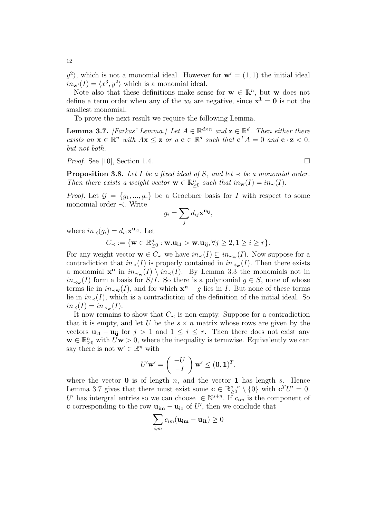$y^2$ , which is not a monomial ideal. However for  $\mathbf{w}' = (1, 1)$  the initial ideal  $in_{\mathbf{w}'}(I) = \langle x^3, y^2 \rangle$  which is a monomial ideal.

Note also that these definitions make sense for  $\mathbf{w} \in \mathbb{R}^n$ , but w does not define a term order when any of the  $w_i$  are negative, since  $\mathbf{x}^1 = \mathbf{0}$  is not the smallest monomial.

To prove the next result we require the following Lemma.

**Lemma 3.7.** [Farkas' Lemma.] Let  $A \in \mathbb{R}^{d \times n}$  and  $\mathbf{z} \in \mathbb{R}^d$ . Then either there exists an  $\mathbf{x} \in \mathbb{R}^n$  with  $A\mathbf{x} \leq \mathbf{z}$  or  $a \mathbf{c} \in \mathbb{R}^d$  such that  $\mathbf{c}^T A = 0$  and  $\mathbf{c} \cdot \mathbf{z} < 0$ , but not both.

*Proof.* See [10], Section 1.4.  $\Box$ 

**Proposition 3.8.** Let I be a fixed ideal of S, and let  $\prec$  be a monomial order. Then there exists a weight vector  $\mathbf{w} \in \mathbb{R}_{\geq 0}^n$  such that  $in_{\mathbf{w}}(I) = in_{\prec}(I)$ .

*Proof.* Let  $\mathcal{G} = \{g_1, ..., g_r\}$  be a Groebner basis for I with respect to some monomial order ≺. Write  $\overline{\phantom{a}}$ 

$$
g_i = \sum_j d_{ij} \mathbf{x}^{\mathbf{u}_{ij}},
$$

where  $in_{\prec}(g_i) = d_{i1} \mathbf{x}^{\mathbf{u}_{i1}}$ . Let

 $C_{\prec} := \{ \mathbf{w} \in \mathbb{R}_{\geq 0}^n : \mathbf{w}.\mathbf{u}_{i1} > \mathbf{w}.\mathbf{u}_{ij}, \forall j \geq 2, 1 \geq i \geq r \}.$ 

For any weight vector  $\mathbf{w} \in C_{\prec}$  we have  $in_{\prec}(I) \subseteq in_{\prec_{\mathbf{w}}}(I)$ . Now suppose for a contradiction that  $in_{\prec}(I)$  is properly contained in  $in_{\prec_{\mathbf{w}}}(I)$ . Then there exists a monomial  $\mathbf{x}^{\mathbf{u}}$  in  $in_{\prec_{\mathbf{w}}}(I) \setminus in_{\prec}(I)$ . By Lemma 3.3 the monomials not in  $in_{\leq w}(I)$  form a basis for  $S/I$ . So there is a polynomial  $g \in S$ , none of whose terms lie in  $in_{\prec \mathbf{w}}(I)$ , and for which  $\mathbf{x}^{\mathbf{u}} - g$  lies in I. But none of these terms lie in  $in_{\prec}(I)$ , which is a contradiction of the definition of the initial ideal. So  $in_{\prec}(I) = in_{\prec_{\mathbf{w}}}(I).$ 

It now remains to show that  $C_{\prec}$  is non-empty. Suppose for a contradiction that it is empty, and let U be the  $s \times n$  matrix whose rows are given by the vectors  $\mathbf{u}_{i1} - \mathbf{u}_{i}$  for  $j > 1$  and  $1 \leq i \leq r$ . Then there does not exist any  $\mathbf{w} \in \mathbb{R}_{\geq 0}^n$  with  $\overline{U}\mathbf{w} > 0$ , where the inequality is termwise. Equivalently we can say there is not  $\mathbf{w}' \in \mathbb{R}^n$  with

$$
U' \mathbf{w}' = \left(\begin{array}{c} -U\\-I\end{array}\right) \mathbf{w}' \leq (\mathbf{0}, \mathbf{1})^T,
$$

where the vector  $\mathbf{0}$  is of length n, and the vector  $\mathbf{1}$  has length s. Hence Lemma 3.7 gives that there must exist some  $\mathbf{c} \in \mathbb{R}_{\geq 0}^{s+n}$  $\sum_{\geq 0}^{s+n} \setminus \{0\}$  with  $\mathbf{c}^T U' = 0$ . U' has intergral entries so we can choose  $\in \mathbb{N}^{s+n}$ . If  $c_{im}$  is the component of c corresponding to the row  $\mathbf{u}_{im} - \mathbf{u}_{i1}$  of U', then we conclude that

$$
\sum_{i,m} c_{im}(\mathbf{u}_{im} - \mathbf{u}_{i1}) \ge 0
$$

12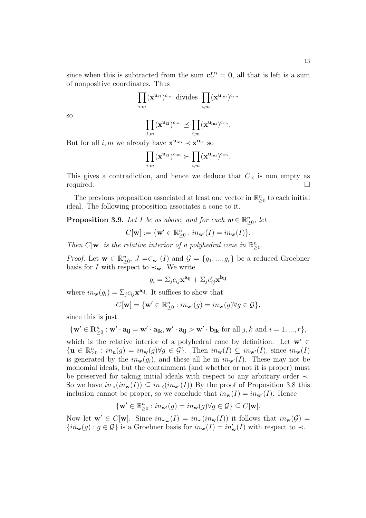since when this is subtracted from the sum  $cU' = 0$ , all that is left is a sum of nonpositive coordinates. Thus

$$
\prod_{i,m} (\mathbf{x}^{\mathbf{u}_{i1}})^{c_{im}} \text{ divides } \prod_{i,m} (\mathbf{x}^{\mathbf{u}_{im}})^{c_{im}}
$$

$$
\prod (\mathbf{x}^{\mathbf{u}_{i1}})^{c_{im}} \preceq \prod (\mathbf{x}^{\mathbf{u}_{im}})^{c_{im}}.
$$

so

$$
i, m \qquad i, m
$$
But for all  $i, m$  we already have  $\mathbf{x}^{\mathbf{u}_{im}} \prec \mathbf{x}^{\mathbf{u}_{i1}}$  so

$$
\prod_{i,m} (\mathbf{x}^{\mathbf{u_{i1}}})^{c_{im}} \succ \prod_{i,m} (\mathbf{x}^{\mathbf{u_{im}}})^{c_{im}}.
$$

This gives a contradiction, and hence we deduce that  $C_{\prec}$  is non empty as required.  $\Box$ 

The previous proposition associated at least one vector in  $\mathbb{R}^n_{\geq 0}$  to each initial ideal. The following proposition associates a cone to it.

**Proposition 3.9.** Let I be as above, and for each  $w \in \mathbb{R}^n_{\geq 0}$ , let

$$
C[\mathbf{w}] := \{ \mathbf{w}' \in \mathbb{R}^n_{\geq 0} : in_{\mathbf{w}'}(I) = in_{\mathbf{w}}(I) \}.
$$

Then  $C[\mathbf{w}]$  is the relative interior of a polyhedral cone in  $\mathbb{R}^n_{\geq 0}$ .

*Proof.* Let  $\mathbf{w} \in \mathbb{R}_{\geq 0}^n$ ,  $J = \epsilon_{\mathbf{w}}(I)$  and  $\mathcal{G} = \{g_1, ..., g_r\}$  be a reduced Groebner basis for I with respect to  $\prec_{\mathbf{w}}$ . We write

$$
g_i = \Sigma_j c_{ij} \mathbf{x}^{\mathbf{a}_{ij}} + \Sigma_j c'_{ij} \mathbf{x}^{\mathbf{b}_{ij}}
$$

where  $in_{\mathbf{w}}(g_i) = \sum_j c_{ij} \mathbf{x}^{\mathbf{a}_{ij}}$ . It suffices to show that

$$
C[\mathbf{w}] = \{ \mathbf{w}' \in \mathbb{R}_{\geq 0}^n : in_{\mathbf{w}'}(g) = in_{\mathbf{w}}(g) \forall g \in \mathcal{G} \},
$$

since this is just

 $\{ \mathbf{w}' \in \mathbf{R}_{\geq 0}^n : \mathbf{w}' \cdot \mathbf{a}_{ij} = \mathbf{w}' \cdot \mathbf{a}_{ik}, \mathbf{w}' \cdot \mathbf{a}_{ij} > \mathbf{w}' \cdot \mathbf{b}_{ik} \text{ for all } j, k \text{ and } i = 1, ..., r \},\$ 

which is the relative interior of a polyhedral cone by definition. Let  $\mathbf{w}' \in$  $\{u \in \mathbb{R}^n_{\geq 0} : in_u(g) = in_w(g) \forall g \in \mathcal{G}\}\.$  Then  $in_w(I) \subseteq in_{w'}(I)$ , since  $in_w(I)$ is generated by the  $in_{\mathbf{w}}(g_i)$ , and these all lie in  $in_{\mathbf{w}'}(I)$ . These may not be monomial ideals, but the containment (and whether or not it is proper) must be preserved for taking initial ideals with respect to any arbitrary order ≺. So we have  $in_{\prec}(in_{\mathbf{w}}(I)) \subseteq in_{\prec}(in_{\mathbf{w}'}(I))$  By the proof of Proposition 3.8 this inclusion cannot be proper, so we conclude that  $in_{\mathbf{w}}(I) = in_{\mathbf{w}'}(I)$ . Hence

$$
\{ \mathbf{w}' \in \mathbb{R}_{\geq 0}^n : in_{\mathbf{w}'}(g) = in_{\mathbf{w}}(g) \forall g \in \mathcal{G} \} \subseteq C[\mathbf{w}].
$$

Now let  $\mathbf{w}' \in C[\mathbf{w}]$ . Since  $in_{\prec w}(I) = in_{\prec}(in_w(I))$  it follows that  $in_w(\mathcal{G}) =$  $\{in_{\mathbf{w}}(g) : g \in \mathcal{G}\}\$ is a Groebner basis for  $in_{\mathbf{w}}(I) = in'_{\mathbf{w}}(I)$  with respect to  $\prec$ .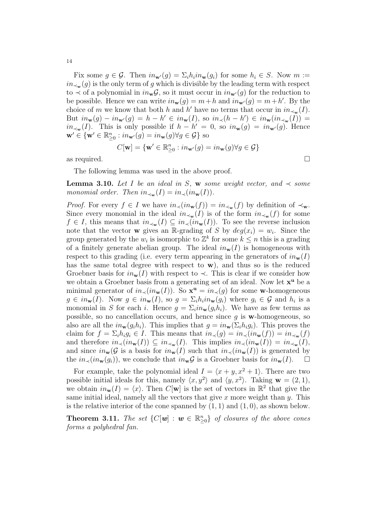Fix some  $g \in \mathcal{G}$ . Then  $in_{\mathbf{w}'}(g) = \sum_i h_i in_{\mathbf{w}}(g_i)$  for some  $h_i \in S$ . Now  $m :=$  $in_{\leq w}(g)$  is the only term of g which is divisible by the leading term with respect to  $\prec$  of a polynomial in  $in_{\mathbf{w}}\mathcal{G}$ , so it must occur in  $in_{\mathbf{w}}(g)$  for the reduction to be possible. Hence we can write  $in_{\mathbf{w}}(g) = m + h$  and  $in_{\mathbf{w}'}(g) = m + h'$ . By the choice of m we know that both h and h' have no terms that occur in  $in_{\prec_{\mathbf{w}}}(I)$ . But  $in_{\mathbf{w}}(g) - in_{\mathbf{w}'}(g) = h - h' \in in_{\mathbf{w}}(I)$ , so  $in_{\prec}(h - h') \in in_{\mathbf{w}}(in_{\prec_{\mathbf{w}}}(I)) =$  $in_{\leq w}(I)$ . This is only possible if  $h - h' = 0$ , so  $in_w(g) = in_{w'}(g)$ . Hence  $\mathbf{w}' \in \{\mathbf{w}' \in \mathbb{R}_{\geq 0}^n : in_{\mathbf{w}'}(g) = in_{\mathbf{w}}(g) \forall g \in \mathcal{G}\}\)$ so

$$
C[\mathbf{w}] = \{ \mathbf{w}' \in \mathbb{R}^n_{\geq 0} : in_{\mathbf{w}'}(g) = in_{\mathbf{w}}(g) \forall g \in \mathcal{G} \}
$$

as required.  $\Box$ 

The following lemma was used in the above proof.

**Lemma 3.10.** Let I be an ideal in S, w some weight vector, and  $\prec$  some monomial order. Then  $in_{\prec_w}(I) = in_{\prec}(in_w(I)).$ 

*Proof.* For every  $f \in I$  we have  $in_{\prec}(in_{\mathbf{w}}(f)) = in_{\prec_{\mathbf{w}}}(f)$  by definition of  $\prec_{\mathbf{w}}$ . Since every monomial in the ideal  $in_{\prec_{\mathbf{w}}}(I)$  is of the form  $in_{\prec_{\mathbf{w}}}(f)$  for some  $f \in I$ , this means that  $in_{\prec_{\mathbf{w}}}(I) \subseteq in_{\prec}(in_{\mathbf{w}}(I))$ . To see the reverse inclusion note that the vector **w** gives an R-grading of S by  $deg(x_i) = w_i$ . Since the group generated by the  $w_i$  is isomorphic to  $\mathbb{Z}^k$  for some  $k \leq n$  this is a grading of a finitely generate abelian group. The ideal  $in_{w}(I)$  is homogeneous with respect to this grading (i.e. every term appearing in the generators of  $in_{\mathbf{w}}(I)$ ) has the same total degree with respect to  $\bf{w}$ ), and thus so is the reduced Groebner basis for  $in_{\mathbf{w}}(I)$  with respect to  $\prec$ . This is clear if we consider how we obtain a Groebner basis from a generating set of an ideal. Now let  $x^u$  be a minimal generator of  $in_{\prec}(in_{\mathbf{w}}(I))$ . So  $\mathbf{x}^{\mathbf{u}} = in_{\prec}(g)$  for some w-homogeneous  $g \in in_{\mathbf{w}}(I)$ . Now  $g \in in_{\mathbf{w}}(I)$ , so  $g = \sum_i h_i in_{\mathbf{w}}(g_i)$  where  $g_i \in \mathcal{G}$  and  $h_i$  is a monomial in S for each i. Hence  $g = \sum_i in_{\mathbf{w}}(g_i h_i)$ . We have as few terms as possible, so no cancellation occurs, and hence since  $g$  is w-homogeneous, so also are all the  $in_{\mathbf{w}}(g_i h_i)$ . This implies that  $g = in_{\mathbf{w}}(\Sigma_i h_i g_i)$ . This proves the claim for  $f = \sum_i h_i g_i \in I$ . This means that  $in_\prec(g) = in_\prec(in_{\mathbf{w}}(f)) = in_{\prec_{\mathbf{w}}}(f)$ and therefore  $in_{\prec}(in_{\mathbf{w}}(I)) \subseteq in_{\prec_{\mathbf{w}}}(I)$ . This implies  $in_{\prec}(in_{\mathbf{w}}(I)) = in_{\prec_{\mathbf{w}}}(I)$ , and since  $in_{\mathbf{w}}(\mathcal{G}$  is a basis for  $in_{\mathbf{w}}(I)$  such that  $in_{\prec}(in_{\mathbf{w}}(I))$  is generated by the  $in_{\prec}(in_{\mathbf{w}}(g_i))$ , we conclude that  $in_{\mathbf{w}}\mathcal{G}$  is a Groebner basis for  $in_{\mathbf{w}}(I)$ .  $\Box$ 

For example, take the polynomial ideal  $I = \langle x + y, x^2 + 1 \rangle$ . There are two possible initial ideals for this, namely  $\langle x, y^2 \rangle$  and  $\langle y, x^2 \rangle$ . Taking  $\mathbf{w} = (2, 1)$ , we obtain  $in_{\mathbf{w}}(I) = \langle x \rangle$ . Then  $C[\mathbf{w}]$  is the set of vectors in  $\mathbb{R}^2$  that give the same initial ideal, namely all the vectors that give  $x$  more weight than  $y$ . This is the relative interior of the cone spanned by  $(1, 1)$  and  $(1, 0)$ , as shown below.

**Theorem 3.11.** The set  $\{C[\mathbf{w}] : \mathbf{w} \in \mathbb{R}_{\geq 0}^n\}$  of closures of the above cones forms a polyhedral fan.

14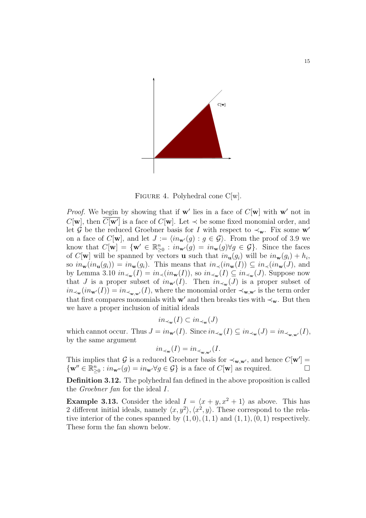

FIGURE 4. Polyhedral cone C[w].

*Proof.* We begin by showing that if  $w'$  lies in a face of  $C[w]$  with  $w'$  not in  $C[\mathbf{w}]$ , then  $C[\mathbf{w}]$  is a face of  $C[\mathbf{w}]$ . Let  $\prec$  be some fixed monomial order, and let G be the reduced Groebner basis for I with respect to  $\prec_{\mathbf{w}}$ . Fix some w' on a face of  $C[\mathbf{w}]$ , and let  $J := \langle in_{\mathbf{w}'}(g) : g \in \mathcal{G} \rangle$ . From the proof of 3.9 we know that  $C[\mathbf{w}] = {\mathbf{w}' \in \mathbb{R}_{\geq 0}^n : in_{\mathbf{w}'}(g) = in_{\mathbf{w}}(g)} \forall g \in \mathcal{G}$ . Since the faces of  $C[\mathbf{w}]$  will be spanned by vectors **u** such that  $in_{\mathbf{u}}(g_i)$  will be  $in_{\mathbf{w}}(g_i) + h_i$ , so  $in_{\mathbf{w}}(in_{\mathbf{u}}(g_i)) = in_{\mathbf{w}}(g_i)$ . This means that  $in_{\prec}(in_{\mathbf{w}}(I)) \subseteq in_{\prec}(in_{\mathbf{w}}(J))$ , and by Lemma 3.10  $in_{\prec_{\mathbf{w}}}(I) = in_{\prec}(in_{\mathbf{w}}(I)),$  so  $in_{\prec_{\mathbf{w}}}(I) \subseteq in_{\prec_{\mathbf{w}}}(J)$ . Suppose now that J is a proper subset of  $in_{w}(I)$ . Then  $in_{\prec_w}(J)$  is a proper subset of  $in_{\mathbf{w}}(in_{\mathbf{w}'}(I)) = in_{\mathbf{w}_{\mathbf{w},\mathbf{w}'}}(I)$ , where the monomial order  $\mathbf{w}_{\mathbf{w},\mathbf{w}'}$  is the term order that first compares monomials with  $w'$  and then breaks ties with  $\prec_w$ . But then we have a proper inclusion of initial ideals

$$
in_{\prec_{\mathbf{w}}}(I)\subset in_{\prec_{\mathbf{w}}}(J)
$$

which cannot occur. Thus  $J = in_{\mathbf{w}'}(I)$ . Since  $in_{\prec_{\mathbf{w}}}(\overline{I}) \subseteq in_{\prec_{\mathbf{w}}}(\overline{I}) = in_{\prec_{\mathbf{w},\mathbf{w}'}}(\overline{I})$ , by the same argument

$$
in_{\prec_{\mathbf{w}}}(I)=in_{\prec_{\mathbf{w},\mathbf{w}^{\prime}}}(I.
$$

This implies that G is a reduced Groebner basis for  $\prec_{\mathbf{w},\mathbf{w'}}$ , and hence  $C[\mathbf{w}'] =$  $\{w'' \in \mathbb{R}^n_{\geq 0} : in_{w''}(g) = in_{w'} \forall g \in \mathcal{G}\}\$  is a face of  $C[w]$  as required.  $\square$ 

Definition 3.12. The polyhedral fan defined in the above proposition is called the Groebner fan for the ideal I.

**Example 3.13.** Consider the ideal  $I = \langle x + y, x^2 + 1 \rangle$  as above. This has 2 different initial ideals, namely  $\langle x, y^2 \rangle$ ,  $\langle x^2, y \rangle$ . These correspond to the relative interior of the cones spanned by  $(1,0), (1,1)$  and  $(1,1), (0,1)$  respectively. These form the fan shown below.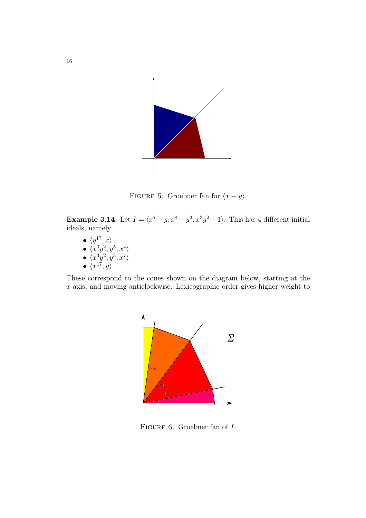

FIGURE 5. Groebner fan for  $\langle x + y \rangle$ .

**Example 3.14.** Let  $I = \langle x^7 - y, x^4 - y^3, x^3y^2 - 1 \rangle$ . This has 4 different initial ideals, namely

 $\bullet \langle y^{17}, x \rangle$ •  $\langle x^3y^2, y^5, x^4 \rangle$ •  $\langle x^3y^2, y^3, x^7 \rangle$  $\bullet \langle x^{17}, y \rangle$ 

These correspond to the cones shown on the diagram below, starting at the x-axis, and moving anticlockwise. Lexicographic order gives higher weight to



Figure 6. Groebner fan of I.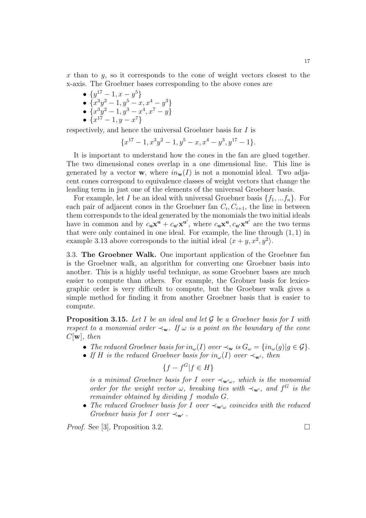x than to  $y$ , so it corresponds to the cone of weight vectors closest to the x-axis. The Groebner bases corresponding to the above cones are

•  $\{y^{17} - 1, x - y^5\}$ •  $\{x^3y^2-1, y^5-x, x^4-y^3\}$ •  $\{x^3y^2-1, y^3-x^4, x^7-y\}$ •  $\{x^{17} - 1, y - x^7\}$ 

respectively, and hence the universal Groebner basis for I is

$$
\{x^{17} - 1, x^3y^2 - 1, y^5 - x, x^4 - y^3, y^{17} - 1\}.
$$

It is important to understand how the cones in the fan are glued together. The two dimensional cones overlap in a one dimensional line. This line is generated by a vector **w**, where  $in_{\mathbf{w}}(I)$  is not a monomial ideal. Two adjacent cones correspond to equivalence classes of weight vectors that change the leading term in just one of the elements of the universal Groebner basis.

For example, let I be an ideal with universal Groebner basis  $\{f_1, \ldots, f_n\}$ . For each pair of adjacent cones in the Groebner fan  $C_i, C_{i+1}$ , the line in between them corresponds to the ideal generated by the monomials the two initial ideals have in common and by  $c_{\mathbf{u}} \mathbf{x}^{\mathbf{u}} + c_{\mathbf{u}'} \mathbf{x}^{\mathbf{u}'},$  where  $c_{\mathbf{u}} \mathbf{x}^{\mathbf{u}}, c_{\mathbf{u}'} \mathbf{x}^{\mathbf{u}'}$  are the two terms that were only contained in one ideal. For example, the line through  $(1, 1)$  in example 3.13 above corresponds to the initial ideal  $\langle x + y, x^2, y^2 \rangle$ .

3.3. The Groebner Walk. One important application of the Groebner fan is the Groebner walk, an algorithm for converting one Groebner basis into another. This is a highly useful technique, as some Groebner bases are much easier to compute than others. For example, the Grobner basis for lexicographic order is very difficult to compute, but the Groebner walk gives a simple method for finding it from another Groebner basis that is easier to compute.

**Proposition 3.15.** Let I be an ideal and let G be a Groebner basis for I with respect to a monomial order  $\prec_{\bf w}$ . If  $\omega$  is a point on the boundary of the cone  $C[\mathbf{w}]$ , then

- The reduced Groebner basis for  $in_{\omega}(I)$  over  $\prec_{\mathbf{w}} is G_{\omega} = \{in_{\omega}(g) | g \in \mathcal{G} \}.$
- If H is the reduced Groebner basis for  $in_{\omega}(I)$  over  $\prec_{\mathbf{w}'}$ , then

$$
\{f - f^G | f \in H\}
$$

is a minimal Groebner basis for I over  $\prec_{w'\omega}$ , which is the monomial order for the weight vector  $\omega$ , breaking ties with  $\prec_{w'}$ , and  $f^G$  is the remainder obtained by dividing f modulo G.

• The reduced Groebner basis for I over  $\prec_{w'\omega}$  coincides with the reduced Groebner basis for I over  $\prec_{\mathbf{w}'}$ .

*Proof.* See [3], Proposition 3.2.  $\Box$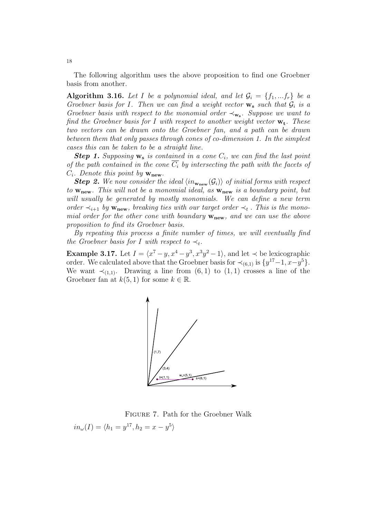The following algorithm uses the above proposition to find one Groebner basis from another.

Algorithm 3.16. Let I be a polynomial ideal, and let  $\mathcal{G}_i = \{f_1, \ldots, f_r\}$  be a Groebner basis for I. Then we can find a weight vector  $w_s$  such that  $\mathcal{G}_i$  is a Groebner basis with respect to the monomial order  $\prec_{\mathbf{w}_s}$ . Suppose we want to find the Groebner basis for I with respect to another weight vector  $\mathbf{w}_t$ . These two vectors can be drawn onto the Groebner fan, and a path can be drawn between them that only passes through cones of co-dimension 1. In the simplest cases this can be taken to be a straight line.

**Step 1.** Supposing  $\mathbf{w}_s$  is contained in a cone  $C_i$ , we can find the last point of the path contained in the cone  $\overline{C_i}$  by intersecting the path with the facets of  $C_i$ . Denote this point by  $\mathbf{w}_{\text{new}}$ .

**Step 2.** We now consider the ideal  $\langle in_{\mathbf{w}_{\text{new}}}(\mathcal{G}_i) \rangle$  of initial forms with respect to  $w_{new}$ . This will not be a monomial ideal, as  $w_{new}$  is a boundary point, but will usually be generated by mostly monomials. We can define a new term order  $\prec_{i+1}$  by  $w_{new}$ , breaking ties with our target order  $\prec_t$ . This is the monomial order for the other cone with boundary  $w_{new}$ , and we can use the above proposition to find its Groebner basis.

By repeating this process a finite number of times, we will eventually find the Groebner basis for I with respect to  $\prec_t$ .

**Example 3.17.** Let  $I = \langle x^7 - y, x^4 - y^3, x^3y^2 - 1 \rangle$ , and let  $\prec$  be lexicographic order. We calculated above that the Groebner basis for  $\prec_{(6,1)}$  is  $\{y^{17}-1, x-y^5\}$ . We want  $\prec_{(1,1)}$ . Drawing a line from  $(6,1)$  to  $(1,1)$  crosses a line of the Groebner fan at  $k(5, 1)$  for some  $k \in \mathbb{R}$ .



Figure 7. Path for the Groebner Walk

$$
in_{\omega}(I) = \langle h_1 = y^{17}, h_2 = x - y^5 \rangle
$$

18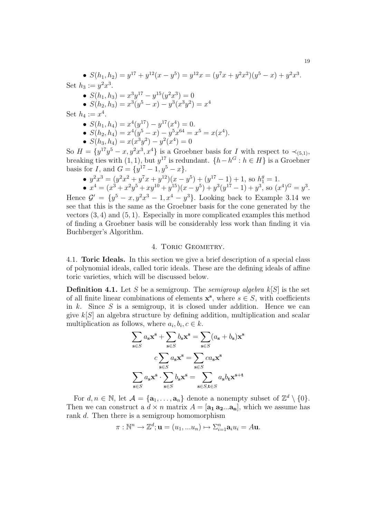•  $S(h_1, h_2) = y^{17} + y^{12}(x - y^5) = y^{12}x = (y^7x + y^2x^2)(y^5 - x) + y^2x^3$ . Set  $h_3 := y^2 x^3$ . •  $S(h_1, h_3) = x^3y^{17} - y^{15}(y^2x^3) = 0$ 

• 
$$
S(h_2, h_3) = x^3(y^5 - x) - y^3(x^3y^2) = x^4
$$

Set  $h_4 := x^4$ .

- $S(h_1, h_4) = x^4(y^{17}) y^{17}(x^4) = 0.$ •  $S(h_2, h_4) = x^4(y^5 - x) - y^5x^{64} = x^5 = x(x^4).$
- $S(h_3, h_4) = x(x^3y^2) y^2(x^4) = 0$

So  $H = \{y^{17}y^5 - x, y^2x^3, x^4\}$  is a Groebner basis for I with respect to  $\prec_{(5,1)}$ , breaking ties with  $(1, 1)$ , but  $y^{17}$  is redundant.  $\{h-h^G : h \in H\}$  is a Groebner basis for I, and  $G = \{y^{17} - 1, y^5 - x\}.$ 

•  $y^2x^3 = (y^2x^2 + y^7x + y^{12})(x - y^5) + (y^{17} - 1) + 1$ , so  $h_1^g = 1$ .

•  $x^4 = (x^3 + x^2y^5 + xy^{10} + y^{15})(x - y^5) + y^3(y^{17} - 1) + y^3$ , so  $(x^4)^G = y^3$ . Hence  $\mathcal{G}' = \{y^5 - x, y^2x^3 - 1, x^4 - y^3\}$ . Looking back to Example 3.14 we see that this is the same as the Groebner basis for the cone generated by the vectors  $(3, 4)$  and  $(5, 1)$ . Especially in more complicated examples this method of finding a Groebner basis will be considerably less work than finding it via Buchberger's Algorithm.

## 4. TORIC GEOMETRY.

4.1. Toric Ideals. In this section we give a brief description of a special class of polynomial ideals, called toric ideals. These are the defining ideals of affine toric varieties, which will be discussed below.

**Definition 4.1.** Let S be a semigroup. The *semigroup algebra*  $k[S]$  is the set of all finite linear combinations of elements  $\mathbf{x}^s$ , where  $s \in S$ , with coefficients in k. Since S is a semigroup, it is closed under addition. Hence we can give  $k[S]$  an algebra structure by defining addition, multiplication and scalar multiplication as follows, where  $a_i, b_i, c \in k$ .

$$
\sum_{\mathbf{s}\in S} a_{\mathbf{s}} \mathbf{x}^{\mathbf{s}} + \sum_{\mathbf{s}\in S} b_{\mathbf{s}} \mathbf{x}^{\mathbf{s}} = \sum_{\mathbf{s}\in S} (a_{\mathbf{s}} + b_{\mathbf{s}}) \mathbf{x}^{\mathbf{s}}
$$

$$
c \sum_{\mathbf{s}\in S} a_{\mathbf{s}} \mathbf{x}^{\mathbf{s}} = \sum_{\mathbf{s}\in S} c a_{\mathbf{s}} \mathbf{x}^{\mathbf{s}}
$$

$$
\sum_{\mathbf{s}\in S} a_{\mathbf{s}} \mathbf{x}^{\mathbf{s}} \cdot \sum_{\mathbf{s}\in S} b_{\mathbf{s}} \mathbf{x}^{\mathbf{s}} = \sum_{\mathbf{s}\in S, \mathbf{t}\in S} a_{\mathbf{s}} b_{\mathbf{t}} \mathbf{x}^{\mathbf{s}+\mathbf{t}}
$$

For  $d, n \in \mathbb{N}$ , let  $\mathcal{A} = {\mathbf{a}_1, ..., \mathbf{a}_n}$  denote a nonempty subset of  $\mathbb{Z}^d \setminus \{0\}$ . Then we can construct a  $d \times n$  matrix  $A = [\mathbf{a_1} \ \mathbf{a_2} \dots \mathbf{a_n}]$ , which we assume has rank d. Then there is a semigroup homomorphism

$$
\pi: \mathbb{N}^n \to \mathbb{Z}^d; \mathbf{u} = (u_1, \dots u_n) \mapsto \Sigma_{i=1}^n \mathbf{a}_i u_i = A \mathbf{u}.
$$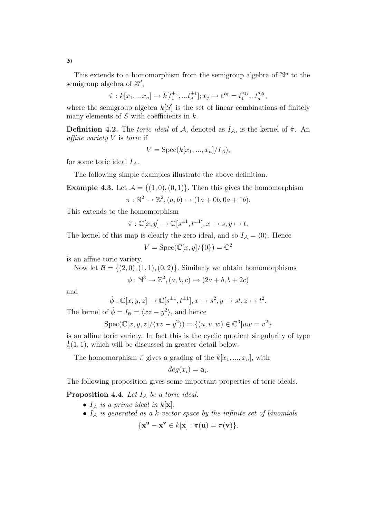This extends to a homomorphism from the semigroup algebra of  $\mathbb{N}^n$  to the semigroup algebra of  $\mathbb{Z}^d$ ,

$$
\hat{\pi}: k[x_1,...x_n] \to k[t_1^{\pm 1},...t_d^{\pm 1}]; x_j \mapsto \mathbf{t}^{\mathbf{a}_j} = t_1^{a_{1j}}...t_d^{a_{dj}},
$$

where the semigroup algebra  $k[S]$  is the set of linear combinations of finitely many elements of  $S$  with coefficients in  $k$ .

**Definition 4.2.** The toric ideal of A, denoted as  $I_A$ , is the kernel of  $\hat{\pi}$ . An affine variety V is toric if

$$
V = \operatorname{Spec}(k[x_1, ..., x_n]/I_{\mathcal{A}}),
$$

for some toric ideal  $I_A$ .

The following simple examples illustrate the above definition.

**Example 4.3.** Let  $\mathcal{A} = \{(1,0), (0,1)\}\)$ . Then this gives the homomorphism  $\pi : \mathbb{N}^2 \to \mathbb{Z}^2$ ,  $(a, b) \mapsto (1a + 0b, 0a + 1b)$ .

This extends to the homomorphism

$$
\hat{\pi}: \mathbb{C}[x, y] \to \mathbb{C}[s^{\pm 1}, t^{\pm 1}], x \mapsto s, y \mapsto t.
$$

The kernel of this map is clearly the zero ideal, and so  $I_A = \langle 0 \rangle$ . Hence

$$
V = \operatorname{Spec}(\mathbb{C}[x, y]/\{0\}) = \mathbb{C}^2
$$

is an affine toric variety.

Now let  $\mathcal{B} = \{(2, 0), (1, 1), (0, 2)\}\.$  Similarly we obtain homomorphisms  $\phi: \mathbb{N}^3 \to \mathbb{Z}^2$ ,  $(a, b, c) \mapsto (2a + b, b + 2c)$ 

and

$$
\hat{\phi}: \mathbb{C}[x, y, z] \to \mathbb{C}[s^{\pm 1}, t^{\pm 1}], x \mapsto s^2, y \mapsto st, z \mapsto t^2.
$$

The kernel of  $\hat{\phi} = I_{\mathcal{B}} = \langle xz - y^2 \rangle$ , and hence

$$
Spec(\mathbb{C}[x, y, z]/\langle xz - y^2 \rangle) = \{(u, v, w) \in \mathbb{C}^3 | uw = v^2\}
$$

is an affine toric variety. In fact this is the cyclic quotient singularity of type 1  $\frac{1}{2}(1,1)$ , which will be discussed in greater detail below.

The homomorphism  $\hat{\pi}$  gives a grading of the  $k[x_1, ..., x_n]$ , with

$$
deg(x_i) = \mathbf{a_i}.
$$

The following proposition gives some important properties of toric ideals.

**Proposition 4.4.** Let  $I_A$  be a toric ideal.

- $I_A$  is a prime ideal in  $k[\mathbf{x}]$ .
- $I_A$  is generated as a k-vector space by the infinite set of binomials

$$
\{\mathbf x^\mathbf u - \mathbf x^\mathbf v \in k[\mathbf x] : \pi(\mathbf u) = \pi(\mathbf v)\}.
$$

20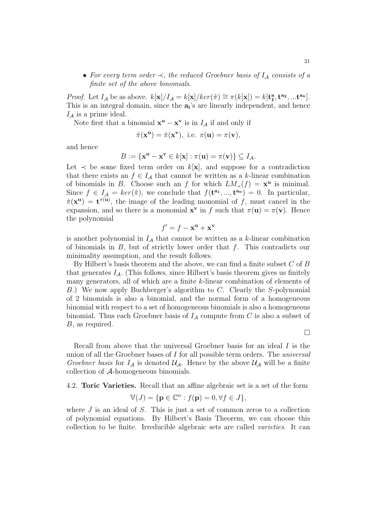• For every term order  $\prec$ , the reduced Groebner basis of  $I_A$  consists of a finite set of the above binomials.

*Proof.* Let  $I_A$  be as above.  $k[\mathbf{x}]/I_A = k[\mathbf{x}]/ker(\hat{\pi}) \cong \pi(k[\mathbf{x}]) = k[\mathbf{t}_1^{\mathbf{a}}, \mathbf{t}^{\mathbf{a}_2}, \dots, \mathbf{t}^{\mathbf{a}_n}].$ This is an integral domain, since the  $a_i$ 's are linearly independent, and hence  $I_{\mathcal{A}}$  is a prime ideal.

Note first that a binomial  $\mathbf{x}^{\mathbf{u}} - \mathbf{x}^{\mathbf{v}}$  is in  $I_A$  if and only if

$$
\hat{\pi}(\mathbf{x}^{\mathbf{u}}) = \hat{\pi}(\mathbf{x}^{\mathbf{v}}), \text{ i.e. } \pi(\mathbf{u}) = \pi(\mathbf{v}),
$$

and hence

$$
B := \{ \mathbf{x}^{\mathbf{u}} - \mathbf{x}^{\mathbf{v}} \in k[\mathbf{x}] : \pi(\mathbf{u}) = \pi(\mathbf{v}) \} \subseteq I_{\mathcal{A}}.
$$

Let  $\prec$  be some fixed term order on k[x], and suppose for a contradiction that there exists an  $f \in I_{\mathcal{A}}$  that cannot be written as a k-linear combination of binomials in B. Choose such an f for which  $LM<sub>≤</sub>(f) = \mathbf{x}^{\mathbf{u}}$  is minimal. Since  $f \in I_{\mathcal{A}} = \ker(\hat{\pi})$ , we conclude that  $f(\mathbf{t}^{\mathbf{a}_1},...,\mathbf{t}^{\mathbf{a_n}}) = 0$ . In particular,  $\hat{\pi}(\mathbf{x}^{\mathbf{u}}) = \mathbf{t}^{\pi(\mathbf{u})}$ , the image of the leading monomial of f, must cancel in the expansion, and so there is a monomial  $\mathbf{x}^{\mathbf{v}}$  in f such that  $\pi(\mathbf{u}) = \pi(\mathbf{v})$ . Hence the polynomial

$$
f' = f - \mathbf{x}^{\mathbf{u}} + \mathbf{x}^{\mathbf{v}}
$$

is another polynomial in  $I_A$  that cannot be written as a k-linear combination of binomials in  $B$ , but of strictly lower order that  $f$ . This contradicts our minimality assumption, and the result follows.

By Hilbert's basis theorem and the above, we can find a finite subset  $C$  of  $B$ that generates  $I_A$ . (This follows, since Hilbert's basis theorem gives us finitely many generators, all of which are a finite k-linear combination of elements of B.) We now apply Buchberger's algorithm to C. Clearly the S-polynomial of 2 binomials is also a binomial, and the normal form of a homogeneous binomial with respect to a set of homogeneous binomials is also a homogeneous binomial. Thus each Groebner basis of  $I_A$  compute from C is also a subset of B, as required.

 $\Box$ 

Recall from above that the universal Groebner basis for an ideal I is the union of all the Groebner bases of  $I$  for all possible term orders. The *universal* Groebner basis for  $I_A$  is denoted  $\mathcal{U}_A$ . Hence by the above  $\mathcal{U}_A$  will be a finite collection of A-homogeneous binomials.

4.2. Toric Varieties. Recall that an affine algebraic set is a set of the form

$$
\mathbb{V}(J) = \{ \mathbf{p} \in \mathbb{C}^n : f(\mathbf{p}) = 0, \forall f \in J \},
$$

where  $J$  is an ideal of  $S$ . This is just a set of common zeros to a collection of polynomial equations. By Hilbert's Basis Theorem, we can choose this collection to be finite. Irreducible algebraic sets are called varieties. It can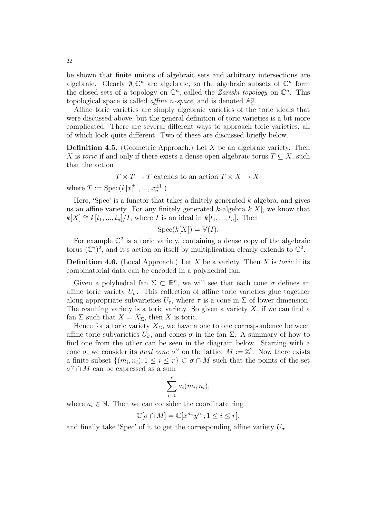be shown that finite unions of algebraic sets and arbitrary intersections are algebraic. Clearly  $\emptyset, \mathbb{C}^n$  are algebraic, so the algebraic subsets of  $\mathbb{C}^n$  form the closed sets of a topology on  $\mathbb{C}^n$ , called the *Zariski topology* on  $\mathbb{C}^n$ . This topological space is called *affine n-space*, and is denoted  $\mathbb{A}_{\mathbb{C}}^n$ .

Affine toric varieties are simply algebraic varieties of the toric ideals that were discussed above, but the general definition of toric varieties is a bit more complicated. There are several different ways to approach toric varieties, all of which look quite different. Two of these are discussed briefly below.

**Definition 4.5.** (Geometric Approach.) Let X be an algebraic variety. Then X is toric if and only if there exists a dense open algebraic torus  $T \subseteq X$ , such that the action

 $T \times T \to T$  extends to an action  $T \times X \to X$ ,

where  $T := \text{Spec}(k[x_1^{\pm 1}, ..., x_n^{\pm 1}])$ 

Here, 'Spec' is a functor that takes a finitely generated  $k$ -algebra, and gives us an affine variety. For any finitely generated k-algebra  $k[X]$ , we know that  $k[X] \cong k[t_1, ..., t_n]/I$ , where I is an ideal in  $k[t_1, ..., t_n]$ . Then

$$
Spec(k[X]) = \mathbb{V}(I).
$$

For example  $\mathbb{C}^2$  is a toric variety, containing a dense copy of the algebraic torus  $(\mathbb{C}^*)^2$ , and it's action on itself by multiplication clearly extends to  $\mathbb{C}^2$ .

**Definition 4.6.** (Local Approach.) Let X be a variety. Then X is toric if its combinatorial data can be encoded in a polyhedral fan.

Given a polyhedral fan  $\Sigma \subset \mathbb{R}^n$ , we will see that each cone  $\sigma$  defines an affine toric variety  $U_{\sigma}$ . This collection of affine toric varieties glue together along appropriate subvarieties  $U_{\tau}$ , where  $\tau$  is a cone in  $\Sigma$  of lower dimension. The resulting variety is a toric variety. So given a variety  $X$ , if we can find a fan  $\Sigma$  such that  $X = X_{\Sigma}$ , then X is toric.

Hence for a toric variety  $X_{\Sigma}$ , we have a one to one correspondence between affine toric subvarieties  $U_{\sigma}$ , and cones  $\sigma$  in the fan  $\Sigma$ . A summary of how to find one from the other can be seen in the diagram below. Starting with a cone  $\sigma$ , we consider its *dual cone*  $\sigma^{\vee}$  on the lattice  $M := \mathbb{Z}^2$ . Now there exists a finite subset  $\{(m_i, n_i); 1 \leq i \leq r\} \subset \sigma \cap M$  such that the points of the set  $\sigma^{\vee} \cap M$  can be expressed as a sum

$$
\sum_{i=1}^r a_i(m_i, n_i),
$$

where  $a_i \in \mathbb{N}$ . Then we can consider the coordinate ring

$$
\mathbb{C}[\sigma \cap M] = \mathbb{C}[x^{m_i}y^{n_i}; 1 \le i \le r],
$$

and finally take 'Spec' of it to get the corresponding affine variety  $U_{\sigma}$ .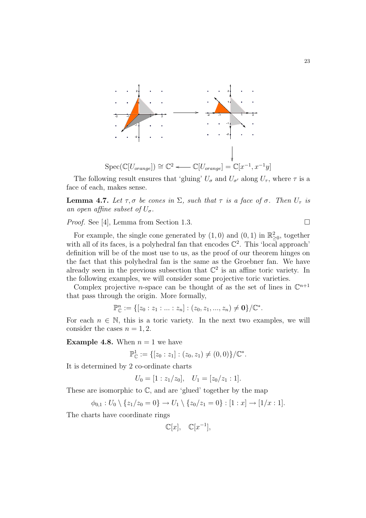

The following result ensures that 'gluing'  $U_{\sigma}$  and  $U_{\sigma'}$  along  $U_{\tau}$ , where  $\tau$  is a face of each, makes sense.

**Lemma 4.7.** Let  $\tau$ ,  $\sigma$  be cones in  $\Sigma$ , such that  $\tau$  is a face of  $\sigma$ . Then  $U_{\tau}$  is an open affine subset of  $U_{\sigma}$ .

*Proof.* See [4], Lemma from Section 1.3.  $\Box$ 

For example, the single cone generated by  $(1,0)$  and  $(0,1)$  in  $\mathbb{R}^2_{\geq 0}$ , together with all of its faces, is a polyhedral fan that encodes  $\mathbb{C}^2$ . This 'local approach' definition will be of the most use to us, as the proof of our theorem hinges on the fact that this polyhedral fan is the same as the Groebner fan. We have already seen in the previous subsection that  $\mathbb{C}^2$  is an affine toric variety. In the following examples, we will consider some projective toric varieties.

Complex projective *n*-space can be thought of as the set of lines in  $\mathbb{C}^{n+1}$ that pass through the origin. More formally,

$$
\mathbb{P}^n_{\mathbb{C}} := \{ [z_0 : z_1 : \ldots : z_n] : (z_0, z_1, \ldots, z_n) \neq \mathbf{0} \} / \mathbb{C}^*.
$$

For each  $n \in \mathbb{N}$ , this is a toric variety. In the next two examples, we will consider the cases  $n = 1, 2$ .

**Example 4.8.** When  $n = 1$  we have

$$
\mathbb{P}_{\mathbb{C}}^1 := \{ [z_0 : z_1] : (z_0, z_1) \neq (0, 0) \} / \mathbb{C}^*.
$$

It is determined by 2 co-ordinate charts

$$
U_0 = [1 : z_1/z_0], \quad U_1 = [z_0/z_1 : 1].
$$

These are isomorphic to  $\mathbb{C}$ , and are 'glued' together by the map

$$
\phi_{0,1}: U_0 \setminus \{z_1/z_0 = 0\} \to U_1 \setminus \{z_0/z_1 = 0\} : [1:x] \to [1/x:1].
$$

The charts have coordinate rings

$$
\mathbb{C}[x], \quad \mathbb{C}[x^{-1}],
$$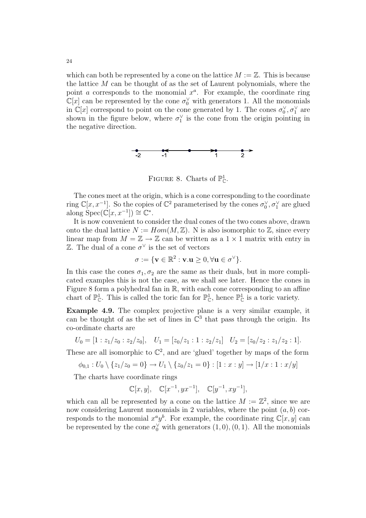which can both be represented by a cone on the lattice  $M := \mathbb{Z}$ . This is because the lattice M can be thought of as the set of Laurent polynomials, where the point a corresponds to the monomial  $x^a$ . For example, the coordinate ring  $\mathbb{C}[x]$  can be represented by the cone  $\sigma_0^{\vee}$  with generators 1. All the monomials in  $\mathbb{C}[x]$  correspond to point on the cone generated by 1. The cones  $\sigma_0^{\vee}, \sigma_1^{\vee}$  are shown in the figure below, where  $\sigma_1^{\vee}$  is the cone from the origin pointing in the negative direction.



FIGURE 8. Charts of  $\mathbb{P}^1_{\mathbb{C}}$ .

The cones meet at the origin, which is a cone corresponding to the coordinate ring  $\mathbb{C}[x, x^{-1}]$ . So the copies of  $\mathbb{C}^2$  parameterised by the cones  $\sigma_0^{\vee}, \sigma_1^{\vee}$  are glued along  $Spec(\mathbb{C}[x,x^{-1}]) \cong \mathbb{C}^*$ .

It is now convenient to consider the dual cones of the two cones above, drawn onto the dual lattice  $N := Hom(M, \mathbb{Z})$ . N is also isomorphic to  $\mathbb{Z}$ , since every linear map from  $M = \mathbb{Z} \to \mathbb{Z}$  can be written as a  $1 \times 1$  matrix with entry in Z. The dual of a cone  $\sigma^{\vee}$  is the set of vectors

$$
\sigma := \{ \mathbf{v} \in \mathbb{R}^2 : \mathbf{v}.\mathbf{u} \ge 0, \forall \mathbf{u} \in \sigma^\vee \}.
$$

In this case the cones  $\sigma_1, \sigma_2$  are the same as their duals, but in more complicated examples this is not the case, as we shall see later. Hence the cones in Figure 8 form a polyhedral fan in R, with each cone corresponding to an affine chart of  $\mathbb{P}^1_{\mathbb{C}}$ . This is called the toric fan for  $\mathbb{P}^1_{\mathbb{C}}$ , hence  $\mathbb{P}^1_{\mathbb{C}}$  is a toric variety.

Example 4.9. The complex projective plane is a very similar example, it can be thought of as the set of lines in  $\mathbb{C}^3$  that pass through the origin. Its co-ordinate charts are

 $U_0 = [1 : z_1/z_0 : z_2/z_0], \quad U_1 = [z_0/z_1 : 1 : z_2/z_1] \quad U_2 = [z_0/z_2 : z_1/z_2 : 1].$ 

These are all isomorphic to  $\mathbb{C}^2$ , and are 'glued' together by maps of the form

 $\phi_{0,1}: U_0 \setminus \{z_1/z_0 = 0\} \to U_1 \setminus \{z_0/z_1 = 0\} : [1:x:y] \to [1/x:1:x/y]$ 

The charts have coordinate rings

$$
\mathbb{C}[x,y], \quad \mathbb{C}[x^{-1},yx^{-1}], \quad \mathbb{C}[y^{-1},xy^{-1}],
$$

which can all be represented by a cone on the lattice  $M := \mathbb{Z}^2$ , since we are now considering Laurent monomials in 2 variables, where the point  $(a, b)$  corresponds to the monomial  $x^a y^b$ . For example, the coordinate ring  $\mathbb{C}[x, y]$  can be represented by the cone  $\sigma_0^{\vee}$  with generators  $(1,0), (0,1)$ . All the monomials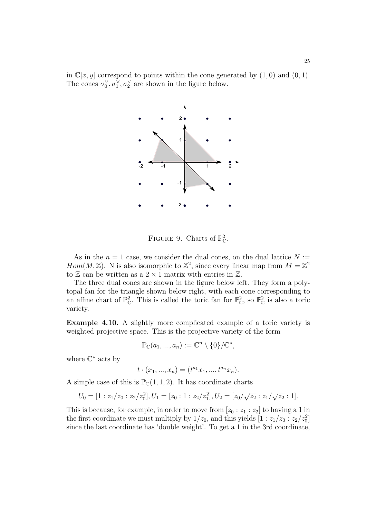

FIGURE 9. Charts of  $\mathbb{P}^2_{\mathbb{C}}$ .

As in the  $n = 1$  case, we consider the dual cones, on the dual lattice  $N :=$  $Hom(M, \mathbb{Z})$ . N is also isomorphic to  $\mathbb{Z}^2$ , since every linear map from  $M = \mathbb{Z}^2$ to  $\mathbb Z$  can be written as a  $2 \times 1$  matrix with entries in  $\mathbb Z$ .

The three dual cones are shown in the figure below left. They form a polytopal fan for the triangle shown below right, with each cone corresponding to an affine chart of  $\mathbb{P}_{\mathbb{C}}^2$ . This is called the toric fan for  $\mathbb{P}_{\mathbb{C}}^2$ , so  $\mathbb{P}_{\mathbb{C}}^2$  is also a toric variety.

Example 4.10. A slightly more complicated example of a toric variety is weighted projective space. This is the projective variety of the form

$$
\mathbb{P}_{\mathbb{C}}(a_1, ..., a_n) := \mathbb{C}^n \setminus \{0\} / \mathbb{C}^*,
$$

where  $\mathbb{C}^*$  acts by

$$
t \cdot (x_1, ..., x_n) = (t^{a_1}x_1, ..., t^{a_n}x_n).
$$

A simple case of this is  $\mathbb{P}_{\mathbb{C}}(1,1,2)$ . It has coordinate charts

$$
U_0=[1:z_1/z_0:z_2/z_0^2], U_1=[z_0:1:z_2/z_1^2], U_2=[z_0/\sqrt{z_2}:z_1/\sqrt{z_2}:1].
$$

This is because, for example, in order to move from  $[z_0 : z_1 : z_2]$  to having a 1 in the first coordinate we must multiply by  $1/z_0$ , and this yields  $[1:z_1/z_0:z_2/z_0^2]$ since the last coordinate has 'double weight'. To get a 1 in the 3rd coordinate,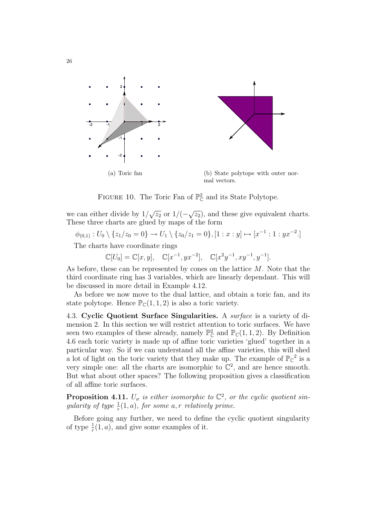

FIGURE 10. The Toric Fan of  $\mathbb{P}^2_{\mathbb{C}}$  and its State Polytope.

we can either divide by  $1/\sqrt{z_2}$  or  $1/(-\sqrt{z_2})$ , and these give equivalent charts. These three charts are glued by maps of the form

$$
\phi_{(0,1)}: U_0 \setminus \{z_1/z_0 = 0\} \to U_1 \setminus \{z_0/z_1 = 0\}, [1:x:y] \mapsto [x^{-1}:1:yx^{-2}].
$$

The charts have coordinate rings

$$
\mathbb{C}[U_0]=\mathbb{C}[x,y],\quad \mathbb{C}[x^{-1},yx^{-2}],\quad \mathbb{C}[x^2y^{-1},xy^{-1},y^{-1}].
$$

As before, these can be represented by cones on the lattice M. Note that the third coordinate ring has 3 variables, which are linearly dependant. This will be discussed in more detail in Example 4.12.

As before we now move to the dual lattice, and obtain a toric fan, and its state polytope. Hence  $\mathbb{P}_{\mathbb{C}}(1,1,2)$  is also a toric variety.

4.3. Cyclic Quotient Surface Singularities. A surface is a variety of dimension 2. In this section we will restrict attention to toric surfaces. We have seen two examples of these already, namely  $\mathbb{P}_{\mathbb{C}}^2$  and  $\mathbb{P}_{\mathbb{C}}(1,1,2)$ . By Definition 4.6 each toric variety is made up of affine toric varieties 'glued' together in a particular way. So if we can understand all the affine varieties, this will shed a lot of light on the toric variety that they make up. The example of  $\mathbb{P}_{\mathbb{C}}^2$  is a very simple one: all the charts are isomorphic to  $\mathbb{C}^2$ , and are hence smooth. But what about other spaces? The following proposition gives a classification of all affine toric surfaces.

**Proposition 4.11.**  $U_{\sigma}$  is either isomorphic to  $\mathbb{C}^2$ , or the cyclic quotient singularity of type  $\frac{1}{r}(1, a)$ , for some  $a, r$  relatively prime.

Before going any further, we need to define the cyclic quotient singularity of type  $\frac{1}{r}(1, a)$ , and give some examples of it.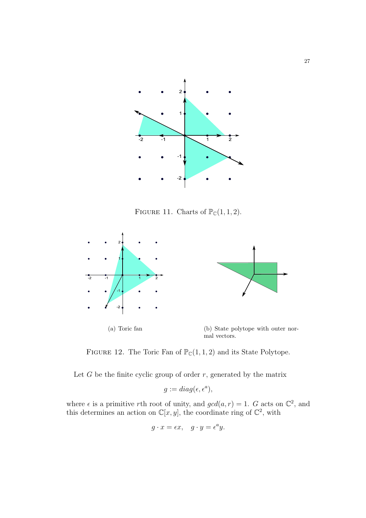

FIGURE 11. Charts of  $\mathbb{P}_{\mathbb{C}}(1,1,2)$ .



FIGURE 12. The Toric Fan of  $\mathbb{P}_{\mathbb{C}}(1,1,2)$  and its State Polytope.

Let  $G$  be the finite cyclic group of order  $r$ , generated by the matrix

$$
g := diag(\epsilon, \epsilon^a),
$$

where  $\epsilon$  is a primitive rth root of unity, and  $gcd(a, r) = 1$ . G acts on  $\mathbb{C}^2$ , and this determines an action on  $\mathbb{C}[x, y]$ , the coordinate ring of  $\mathbb{C}^2$ , with

$$
g \cdot x = \epsilon x, \quad g \cdot y = \epsilon^a y.
$$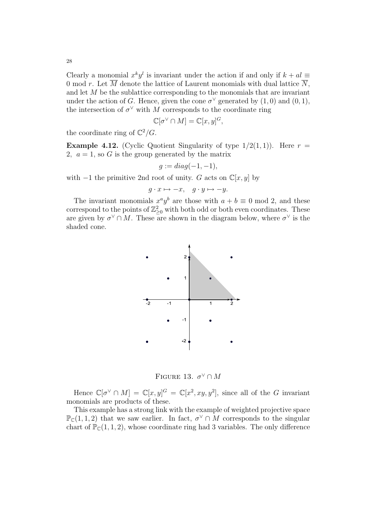Clearly a monomial  $x^k y^l$  is invariant under the action if and only if  $k + al \equiv$ 0 mod r. Let  $\overline{M}$  denote the lattice of Laurent monomials with dual lattice  $\overline{N}$ , and let M be the sublattice corresponding to the monomials that are invariant under the action of G. Hence, given the cone  $\sigma^{\vee}$  generated by  $(1,0)$  and  $(0,1)$ , the intersection of  $\sigma^{\vee}$  with M corresponds to the coordinate ring

$$
\mathbb{C}[\sigma^\vee \cap M] = \mathbb{C}[x, y]^G,
$$

the coordinate ring of  $\mathbb{C}^2/G$ .

**Example 4.12.** (Cyclic Quotient Singularity of type  $1/2(1, 1)$ ). Here  $r =$ 2,  $a = 1$ , so G is the group generated by the matrix

$$
g := diag(-1, -1),
$$

with  $-1$  the primitive 2nd root of unity. G acts on  $\mathbb{C}[x, y]$  by

$$
g \cdot x \mapsto -x, \quad g \cdot y \mapsto -y.
$$

The invariant monomials  $x^a y^b$  are those with  $a + b \equiv 0 \mod 2$ , and these correspond to the points of  $\mathbb{Z}_{\geq 0}^2$  with both odd or both even coordinates. These are given by  $\sigma^{\vee} \cap M$ . These are shown in the diagram below, where  $\sigma^{\vee}$  is the shaded cone.



FIGURE 13.  $\sigma^{\vee} \cap M$ 

Hence  $\mathbb{C}[\sigma^{\vee} \cap M] = \mathbb{C}[x, y]^G = \mathbb{C}[x^2, xy, y^2]$ , since all of the G invariant monomials are products of these.

This example has a strong link with the example of weighted projective space  $\mathbb{P}_{\mathbb{C}}(1,1,2)$  that we saw earlier. In fact,  $\sigma^{\vee} \cap M$  corresponds to the singular chart of  $\mathbb{P}_{\mathbb{C}}(1,1,2)$ , whose coordinate ring had 3 variables. The only difference

28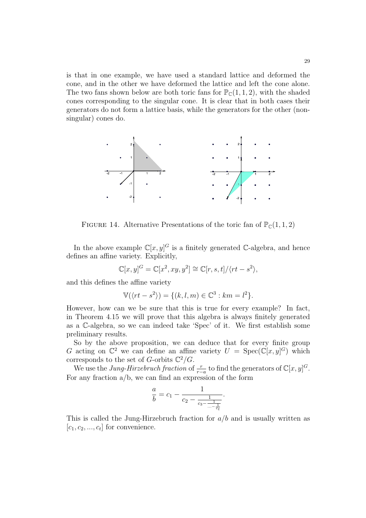is that in one example, we have used a standard lattice and deformed the cone, and in the other we have deformed the lattice and left the cone alone. The two fans shown below are both toric fans for  $\mathbb{P}_{\mathbb{C}}(1,1,2)$ , with the shaded cones corresponding to the singular cone. It is clear that in both cases their generators do not form a lattice basis, while the generators for the other (nonsingular) cones do.



FIGURE 14. Alternative Presentations of the toric fan of  $\mathbb{P}_{\mathbb{C}}(1,1,2)$ 

In the above example  $\mathbb{C}[x,y]^G$  is a finitely generated C-algebra, and hence defines an affine variety. Explicitly,

$$
\mathbb{C}[x,y]^G=\mathbb{C}[x^2,xy,y^2]\cong \mathbb{C}[r,s,t]/\langle rt-s^2\rangle,
$$

and this defines the affine variety

$$
\mathbb{V}(\langle rt - s^2 \rangle) = \{ (k, l, m) \in \mathbb{C}^3 : km = l^2 \}.
$$

However, how can we be sure that this is true for every example? In fact, in Theorem 4.15 we will prove that this algebra is always finitely generated as a C-algebra, so we can indeed take 'Spec' of it. We first establish some preliminary results.

So by the above proposition, we can deduce that for every finite group G acting on  $\mathbb{C}^2$  we can define an affine variety  $U = \text{Spec}(\mathbb{C}[x,y]^G)$  which corresponds to the set of G-orbits  $\mathbb{C}^2/G$ .

We use the *Jung-Hirzebruch fraction* of  $\frac{r}{r-a}$  to find the generators of  $\mathbb{C}[x,y]^G$ . For any fraction a/b, we can find an expression of the form

$$
\frac{a}{b} = c_1 - \frac{1}{c_2 - \frac{1}{c_3 - \frac{1}{\cdots - \frac{1}{c_t}}}}.
$$

This is called the Jung-Hirzebruch fraction for  $a/b$  and is usually written as  $[c_1, c_2, ..., c_t]$  for convenience.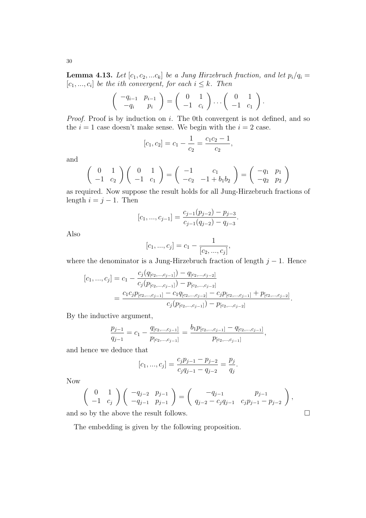**Lemma 4.13.** Let  $[c_1, c_2, ... c_k]$  be a Jung Hirzebruch fraction, and let  $p_i/q_i =$  $[c_1, ..., c_i]$  be the ith convergent, for each  $i \leq k$ . Then

$$
\left(\begin{array}{cc} -q_{i-1} & p_{i-1} \\ -q_i & p_i \end{array}\right) = \left(\begin{array}{cc} 0 & 1 \\ -1 & c_i \end{array}\right) \cdots \left(\begin{array}{cc} 0 & 1 \\ -1 & c_1 \end{array}\right).
$$

*Proof.* Proof is by induction on  $i$ . The 0th convergent is not defined, and so the  $i = 1$  case doesn't make sense. We begin with the  $i = 2$  case.

$$
[c_1, c_2] = c_1 - \frac{1}{c_2} = \frac{c_1 c_2 - 1}{c_2},
$$

and

$$
\begin{pmatrix} 0 & 1 \ -1 & c_2 \end{pmatrix} \begin{pmatrix} 0 & 1 \ -1 & c_1 \end{pmatrix} = \begin{pmatrix} -1 & c_1 \ -c_2 & -1 + b_1 b_2 \end{pmatrix} = \begin{pmatrix} -q_1 & p_1 \ -q_2 & p_2 \end{pmatrix}
$$

as required. Now suppose the result holds for all Jung-Hirzebruch fractions of length  $i = j - 1$ . Then

$$
[c_1, ..., c_{j-1}] = \frac{c_{j-1}(p_{j-2}) - p_{j-3}}{c_{j-1}(q_{j-2}) - q_{j-3}}.
$$

Also

$$
[c_1, ..., c_j] = c_1 - \frac{1}{[c_2, ..., c_j]},
$$

where the denominator is a Jung-Hirzebruch fraction of length  $j - 1$ . Hence

$$
[c_1, ..., c_j] = c_1 - \frac{c_j(q_{[c_2,...,c_{j-1}]}) - q_{[c_2,...,c_{j-2}]}}{c_j(p_{[c_2,...,c_{j-1}]}) - p_{[c_2,...,c_{j-2}]}} = \frac{c_1c_jp_{[c_2,...,c_{j-1}]} - c_1q_{[c_2,...,c_{j-2}]} - c_jp_{[c_2,...,c_{j-1}]} + p_{[c_2,...,c_{j-2}]} }{c_j(p_{[c_2,...,c_{j-1}]}) - p_{[c_2,...,c_{j-2}]} }.
$$

By the inductive argument,

$$
\frac{p_{j-1}}{q_{j-1}} = c_1 - \frac{q_{[c_2,...,c_{j-1}]} }{p_{[c_2,...,c_{j-1}]} } = \frac{b_1 p_{[c_2,...,c_{j-1}]} - q_{[c_2,...,c_{j-1}]} }{p_{[c_2,...,c_{j-1}]}},
$$

and hence we deduce that

$$
[c_1, ..., c_j] = \frac{c_j p_{j-1} - p_{j-2}}{c_j q_{j-1} - q_{j-2}} = \frac{p_j}{q_j}.
$$

Now

$$
\begin{pmatrix} 0 & 1 \ -1 & c_j \end{pmatrix} \begin{pmatrix} -q_{j-2} & p_{j-1} \ -q_{j-1} & p_{j-1} \end{pmatrix} = \begin{pmatrix} -q_{j-1} & p_{j-1} \ q_{j-2} - c_j q_{j-1} & c_j p_{j-1} - p_{j-2} \end{pmatrix},
$$

and so by the above the result follows.  $\Box$ 

The embedding is given by the following proposition.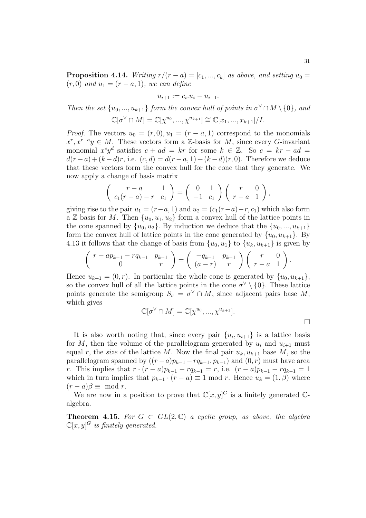**Proposition 4.14.** Writing  $r/(r - a) = [c_1, ..., c_k]$  as above, and setting  $u_0 =$  $(r, 0)$  and  $u_1 = (r - a, 1)$ , we can define

$$
u_{i+1} := c_i \mathbf{.} u_i - u_{i-1}.
$$

Then the set  $\{u_0, ..., u_{k+1}\}$  form the convex hull of points in  $\sigma^{\vee} \cap M \setminus \{0\}$ , and

$$
\mathbb{C}[\sigma^{\vee} \cap M] = \mathbb{C}[\chi^{u_0}, ..., \chi^{u_{k+1}}] \cong \mathbb{C}[x_1, ..., x_{k+1}]/I.
$$

*Proof.* The vectors  $u_0 = (r, 0), u_1 = (r - a, 1)$  correspond to the monomials  $x^r, x^{r-a}y \in M$ . These vectors form a Z-basis for M, since every G-invariant monomial  $x^c y^d$  satisfies  $c + ad = kr$  for some  $k \in \mathbb{Z}$ . So  $c = kr - ad =$  $d(r-a)+(k-d)r$ , i.e.  $(c, d) = d(r-a, 1)+(k-d)(r, 0)$ . Therefore we deduce that these vectors form the convex hull for the cone that they generate. We now apply a change of basis matrix

$$
\left(\begin{array}{cc}r-a&1\\c_1(r-a)-r&c_1\end{array}\right)=\left(\begin{array}{cc}0&1\\-1&c_1\end{array}\right)\left(\begin{array}{cc}r&0\\r-a&1\end{array}\right),\,
$$

giving rise to the pair  $u_1 = (r-a, 1)$  and  $u_2 = (c_1(r-a)-r, c_1)$  which also form a Z basis for M. Then  $\{u_0, u_1, u_2\}$  form a convex hull of the lattice points in the cone spanned by  $\{u_0, u_2\}$ . By induction we deduce that the  $\{u_0, ..., u_{k+1}\}$ form the convex hull of lattice points in the cone generated by  $\{u_0, u_{k+1}\}\$ . By 4.13 it follows that the change of basis from  $\{u_0, u_1\}$  to  $\{u_k, u_{k+1}\}$  is given by

$$
\left(\begin{array}{cc} r - ap_{k-1} - rq_{k-1} & p_{k-1} \\ 0 & r \end{array}\right) = \left(\begin{array}{cc} -q_{k-1} & p_{k-1} \\ (a-r) & r \end{array}\right) \left(\begin{array}{cc} r & 0 \\ r-a & 1 \end{array}\right).
$$

Hence  $u_{k+1} = (0, r)$ . In particular the whole cone is generated by  $\{u_0, u_{k+1}\},\$ so the convex hull of all the lattice points in the cone  $\sigma^{\vee} \setminus \{0\}$ . These lattice points generate the semigroup  $S_{\sigma} = \sigma^{\vee} \cap M$ , since adjacent pairs base M, which gives

$$
\mathbb{C}[\sigma^{\vee} \cap M] = \mathbb{C}[\chi^{u_0}, ..., \chi^{u_{k+1}}].
$$

It is also worth noting that, since every pair  $\{u_i, u_{i+1}\}$  is a lattice basis for M, then the volume of the parallelogram generated by  $u_i$  and  $u_{i+1}$  must equal r, the size of the lattice M. Now the final pair  $u_k, u_{k+1}$  base M, so the parallelogram spanned by  $((r-a)p_{k-1} - rq_{k-1}, p_{k-1})$  and  $(0, r)$  must have area r. This implies that  $r \cdot (r - a)p_{k-1} - rq_{k-1} = r$ , i.e.  $(r - a)p_{k-1} - rq_{k-1} = 1$ which in turn implies that  $p_{k-1} \cdot (r - a) \equiv 1 \mod r$ . Hence  $u_k = (1, \beta)$  where  $(r - a)\beta \equiv \text{ mod } r.$ 

We are now in a position to prove that  $\mathbb{C}[x,y]^G$  is a finitely generated Calgebra.

**Theorem 4.15.** For  $G \subset GL(2,\mathbb{C})$  a cyclic group, as above, the algebra  $\mathbb{C}[x,y]^G$  is finitely generated.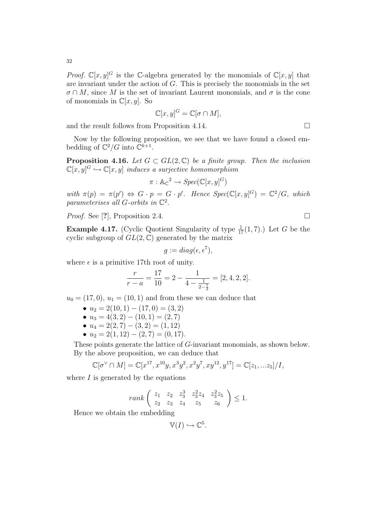*Proof.*  $\mathbb{C}[x,y]^G$  is the C-algebra generated by the monomials of  $\mathbb{C}[x,y]$  that are invariant under the action of G. This is precisely the monomials in the set  $\sigma \cap M$ , since M is the set of invariant Laurent monomials, and  $\sigma$  is the cone of monomials in  $\mathbb{C}[x, y]$ . So

$$
\mathbb{C}[x,y]^G = \mathbb{C}[\sigma \cap M],
$$

and the result follows from Proposition 4.14.  $\Box$ 

Now by the following proposition, we see that we have found a closed embedding of  $\mathbb{C}^2/G$  into  $\mathbb{C}^{k+1}$ .

**Proposition 4.16.** Let  $G \subset GL(2, \mathbb{C})$  be a finite group. Then the inclusion  $\mathbb{C}[x,y]^G \hookrightarrow \mathbb{C}[x,y]$  induces a surjective homomorphism

$$
\pi: \mathbb{A}_{\mathbb{C}}^2 \to \text{Spec}(\mathbb{C}[x,y]^G)
$$

with  $\pi(p) = \pi(p') \Leftrightarrow G \cdot p = G \cdot p'$ . Hence  $Spec(\mathbb{C}[x,y]^G) = \mathbb{C}^2/G$ , which parameterises all G-orbits in  $\mathbb{C}^2$ .

*Proof.* See [?], Proposition 2.4.  $\Box$ 

**Example 4.17.** (Cyclic Quotient Singularity of type  $\frac{1}{17}(1, 7)$ .) Let G be the cyclic subgroup of  $GL(2,\mathbb{C})$  generated by the matrix

$$
g := diag(\epsilon, \epsilon^7),
$$

where  $\epsilon$  is a primitive 17th root of unity.

$$
\frac{r}{r-a} = \frac{17}{10} = 2 - \frac{1}{4 - \frac{1}{2 - \frac{1}{2}}} = [2, 4, 2, 2].
$$

 $u_0 = (17, 0), u_1 = (10, 1)$  and from these we can deduce that

• 
$$
u_2 = 2(10, 1) - (17, 0) = (3, 2)
$$

- $u_3 = 4(3, 2) (10, 1) = (2, 7)$
- $u_4 = 2(2, 7) (3, 2) = (1, 12)$
- $u_2 = 2(1, 12) (2, 7) = (0, 17).$

These points generate the lattice of G-invariant monomials, as shown below. By the above proposition, we can deduce that

$$
\mathbb{C}[\sigma^{\vee} \cap M] = \mathbb{C}[x^{17}, x^{10}y, x^3y^2, x^2y^7, xy^{12}, y^{17}] = \mathbb{C}[z_1, ... z_5]/I,
$$

where  $I$  is generated by the equations

$$
rank\left(\begin{array}{cccc}z_1&z_2&z_3^3&z_3^2z_4&z_3^2z_5\\z_2&z_3&z_4&z_5&z_6\end{array}\right)\le 1.
$$

Hence we obtain the embedding

$$
\mathbb{V}(I) \hookrightarrow \mathbb{C}^5.
$$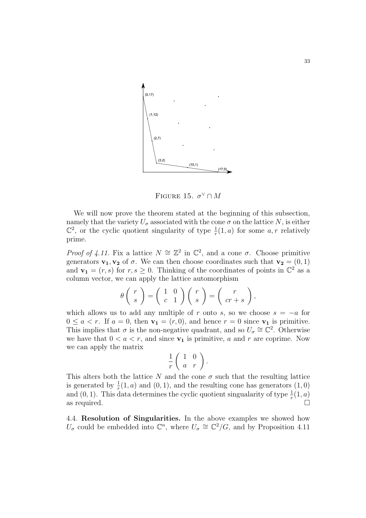

FIGURE 15.  $\sigma^{\vee} \cap M$ 

We will now prove the theorem stated at the beginning of this subsection, namely that the variety  $U_{\sigma}$  associated with the cone  $\sigma$  on the lattice N, is either  $\mathbb{C}^2$ , or the cyclic quotient singularity of type  $\frac{1}{r}(1, a)$  for some  $a, r$  relatively prime.

*Proof of 4.11.* Fix a lattice  $N \cong \mathbb{Z}^2$  in  $\mathbb{C}^2$ , and a cone  $\sigma$ . Choose primitive generators  $\mathbf{v_1}, \mathbf{v_2}$  of  $\sigma$ . We can then choose coordinates such that  $\mathbf{v_2} = (0, 1)$ and  $\mathbf{v}_1 = (r, s)$  for  $r, s \geq 0$ . Thinking of the coordinates of points in  $\mathbb{C}^2$  as a column vector, we can apply the lattice automorphism

$$
\theta\left(\begin{array}{c}r\\s\end{array}\right)=\left(\begin{array}{cc}1&0\\c&1\end{array}\right)\left(\begin{array}{c}r\\s\end{array}\right)=\left(\begin{array}{c}r\\crcrr+s\end{array}\right),\end{array}
$$

which allows us to add any multiple of r onto s, so we choose  $s = -a$  for  $0 \le a < r$ . If  $a = 0$ , then  $\mathbf{v}_1 = (r, 0)$ , and hence  $r = 0$  since  $\mathbf{v}_1$  is primitive. This implies that  $\sigma$  is the non-negative quadrant, and so  $U_{\sigma} \cong \mathbb{C}^2$ . Otherwise we have that  $0 < a < r$ , and since  $v_1$  is primitive, a and r are coprime. Now we can apply the matrix  $\overline{a}$ 

$$
\frac{1}{r}\left(\begin{array}{cc} 1 & 0 \\ a & r \end{array}\right).
$$

This alters both the lattice N and the cone  $\sigma$  such that the resulting lattice is generated by  $\frac{1}{r}(1, a)$  and  $(0, 1)$ , and the resulting cone has generators  $(1, 0)$ and (0, 1). This data determines the cyclic quotient singualarity of type  $\frac{1}{r}(1, a)$ as required.  $\Box$ 

4.4. Resolution of Singularities. In the above examples we showed how  $U_{\sigma}$  could be embedded into  $\mathbb{C}^n$ , where  $U_{\sigma} \cong \mathbb{C}^2/G$ , and by Proposition 4.11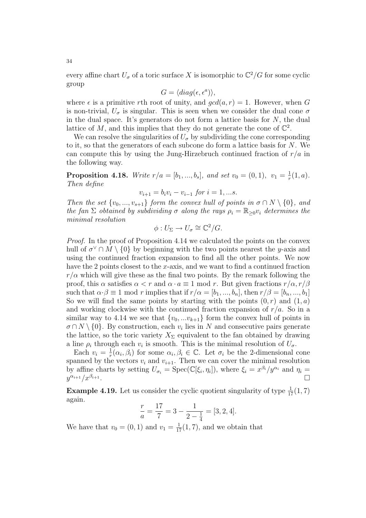every affine chart  $U_{\sigma}$  of a toric surface X is isomorphic to  $\mathbb{C}^2/G$  for some cyclic group

$$
G = \langle diag(\epsilon, \epsilon^a) \rangle,
$$

where  $\epsilon$  is a primitive rth root of unity, and  $gcd(a, r) = 1$ . However, when G is non-trivial,  $U_{\sigma}$  is singular. This is seen when we consider the dual cone  $\sigma$ in the dual space. It's generators do not form a lattice basis for  $N$ , the dual lattice of M, and this implies that they do not generate the cone of  $\mathbb{C}^2$ .

We can resolve the singularities of  $U_{\sigma}$  by subdividing the cone corresponding to it, so that the generators of each subcone do form a lattice basis for N. We can compute this by using the Jung-Hirzebruch continued fraction of  $r/a$  in the following way.

**Proposition 4.18.** Write  $r/a = [b_1, ..., b_s]$ , and set  $v_0 = (0, 1)$ ,  $v_1 = \frac{1}{r}$  $\frac{1}{r}(1, a).$ Then define

$$
v_{i+1} = b_i v_i - v_{i-1} \text{ for } i = 1, \dots s.
$$

Then the set  $\{v_0, ..., v_{s+1}\}$  form the convex hull of points in  $\sigma \cap N \setminus \{0\}$ , and the fan  $\Sigma$  obtained by subdividing  $\sigma$  along the rays  $\rho_i = \mathbb{R}_{\geq 0} v_i$  determines the minimal resolution

$$
\phi: U_{\Sigma} \to U_{\sigma} \cong \mathbb{C}^2/G.
$$

Proof. In the proof of Proposition 4.14 we calculated the points on the convex hull of  $\sigma^{\vee} \cap M \setminus \{0\}$  by beginning with the two points nearest the y-axis and using the continued fraction expansion to find all the other points. We now have the 2 points closest to the x-axis, and we want to find a continued fraction  $r/\alpha$  which will give these as the final two points. By the remark following the proof, this  $\alpha$  satisfies  $\alpha < r$  and  $\alpha \cdot a \equiv 1 \mod r$ . But given fractions  $r/\alpha$ ,  $r/\beta$ such that  $\alpha \cdot \beta \equiv 1 \mod r$  implies that if  $r/\alpha = [b_1, ..., b_n]$ , then  $r/\beta = [b_n, ..., b_1]$ So we will find the same points by starting with the points  $(0, r)$  and  $(1, a)$ and working clockwise with the continued fraction expansion of  $r/a$ . So in a similar way to 4.14 we see that  $\{v_0, ... v_{k+1}\}$  form the convex hull of points in  $\sigma \cap N \setminus \{0\}$ . By construction, each  $v_i$  lies in N and consecutive pairs generate the lattice, so the toric variety  $X_{\Sigma}$  equivalent to the fan obtained by drawing a line  $\rho_i$  through each  $v_i$  is smooth. This is the minimal resolution of  $U_{\sigma}$ .

Each  $v_i = \frac{1}{r}$  $\frac{1}{r}(\alpha_i, \beta_i)$  for some  $\alpha_i, \beta_i \in \mathbb{C}$ . Let  $\sigma_i$  be the 2-dimensional cone spanned by the vectors  $v_i$  and  $v_{i+1}$ . Then we can cover the minimal resolution by affine charts by setting  $U_{\sigma_i} = \text{Spec}(\mathbb{C}[\xi_i, \eta_i])$ , where  $\xi_i = x^{\beta_i}/y^{\alpha_i}$  and  $\eta_i =$  $y^{\alpha_{i+1}}/x^{\beta_{i+1}}$ . The contract of the contract of the contract of the contract of  $\Box$ 

**Example 4.19.** Let us consider the cyclic quotient singularity of type  $\frac{1}{17}(1,7)$ again.

$$
\frac{r}{a} = \frac{17}{7} = 3 - \frac{1}{2 - \frac{1}{4}} = [3, 2, 4].
$$

We have that  $v_0 = (0, 1)$  and  $v_1 = \frac{1}{17}(1, 7)$ , and we obtain that

34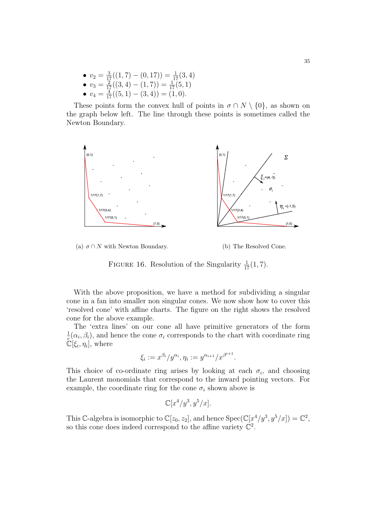• 
$$
v_2 = \frac{3}{17}((1,7) - (0,17)) = \frac{1}{17}(3,4)
$$

• 
$$
v_3 = \frac{2}{17}((3,4)-(1,7)) = \frac{1}{17}(5,1)
$$

•  $v_4 = \frac{4}{17}((5, 1) - (3, 4)) = (1, 0).$ 

These points form the convex hull of points in  $\sigma \cap N \setminus \{0\}$ , as shown on the graph below left. The line through these points is sometimes called the Newton Boundary.



(a)  $\sigma \cap N$  with Newton Boundary. (b) The Resolved Cone.

FIGURE 16. Resolution of the Singularity  $\frac{1}{17}(1,7)$ .

With the above proposition, we have a method for subdividing a singular cone in a fan into smaller non singular cones. We now show how to cover this 'resolved cone' with affine charts. The figure on the right shows the resolved cone for the above example.

The 'extra lines' on our cone all have primitive generators of the form 1  $\frac{1}{r}(\alpha_i, \beta_i)$ , and hence the cone  $\sigma_i$  corresponds to the chart with coordinate ring  $\mathbb{C}[\xi_i, \eta_i],$  where

$$
\xi_i := x^{\beta_i} / y^{\alpha_i}, \eta_i := y^{\alpha_{i+1}} / x^{\beta^{i+1}}.
$$

This choice of co-ordinate ring arises by looking at each  $\sigma_i$ , and choosing the Laurent monomials that correspond to the inward pointing vectors. For example, the coordinate ring for the cone  $\sigma_i$  shown above is

$$
\mathbb{C}[x^4/y^3, y^5/x].
$$

This C-algebra is isomorphic to  $\mathbb{C}[z_0, z_2]$ , and hence  $Spec(\mathbb{C}[x^4/y^3, y^5/x]) = \mathbb{C}^2$ , so this cone does indeed correspond to the affine variety  $\mathbb{C}^2$ .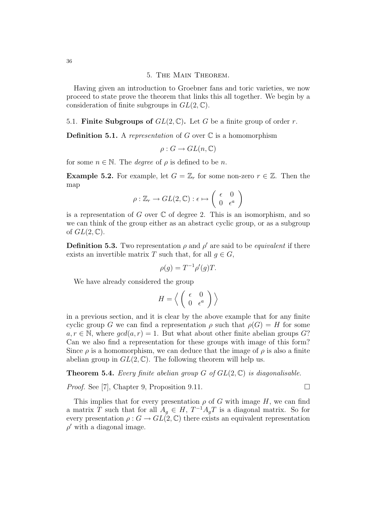# 5. The Main Theorem.

Having given an introduction to Groebner fans and toric varieties, we now proceed to state prove the theorem that links this all together. We begin by a consideration of finite subgroups in  $GL(2,\mathbb{C})$ .

5.1. **Finite Subgroups of**  $GL(2,\mathbb{C})$ . Let G be a finite group of order r.

**Definition 5.1.** A representation of G over  $\mathbb C$  is a homomorphism

$$
\rho: G \to GL(n, \mathbb{C})
$$

for some  $n \in \mathbb{N}$ . The *degree* of  $\rho$  is defined to be n.

**Example 5.2.** For example, let  $G = \mathbb{Z}_r$  for some non-zero  $r \in \mathbb{Z}$ . Then the map  $\overline{a}$  $\mathbf{r}$ 

$$
\rho: \mathbb{Z}_r \to GL(2,\mathbb{C}): \epsilon \mapsto \left(\begin{array}{cc} \epsilon & 0\\ 0 & \epsilon^a \end{array}\right)
$$

is a representation of G over  $\mathbb C$  of degree 2. This is an isomorphism, and so we can think of the group either as an abstract cyclic group, or as a subgroup of  $GL(2,\mathbb{C})$ .

**Definition 5.3.** Two representation  $\rho$  and  $\rho'$  are said to be *equivalent* if there exists an invertible matrix T such that, for all  $q \in G$ ,

$$
\rho(g) = T^{-1} \rho'(g) T.
$$

We have already considered the group

$$
H = \left\langle \left( \begin{array}{cc} \epsilon & 0 \\ 0 & \epsilon^a \end{array} \right) \right\rangle
$$

in a previous section, and it is clear by the above example that for any finite cyclic group G we can find a representation  $\rho$  such that  $\rho(G) = H$  for some  $a, r \in \mathbb{N}$ , where  $gcd(a, r) = 1$ . But what about other finite abelian groups G? Can we also find a representation for these groups with image of this form? Since  $\rho$  is a homomorphism, we can deduce that the image of  $\rho$  is also a finite abelian group in  $GL(2,\mathbb{C})$ . The following theorem will help us.

**Theorem 5.4.** Every finite abelian group  $G$  of  $GL(2,\mathbb{C})$  is diagonalisable.

*Proof.* See [7], Chapter 9, Proposition 9.11.  $\Box$ 

This implies that for every presentation  $\rho$  of G with image H, we can find a matrix T such that for all  $A_g \in H$ ,  $T^{-1}A_gT$  is a diagonal matrix. So for every presentation  $\rho: G \to GL(2, \mathbb{C})$  there exists an equivalent representation  $\rho'$  with a diagonal image.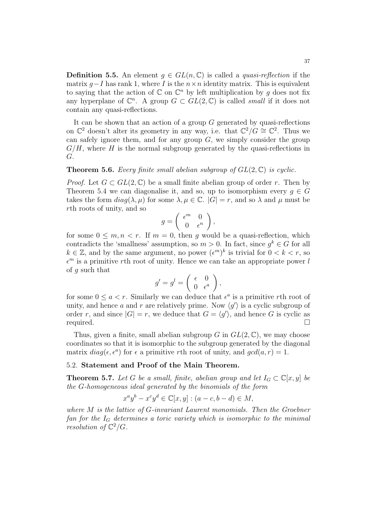**Definition 5.5.** An element  $q \in GL(n, \mathbb{C})$  is called a *quasi-reflection* if the matrix  $q-I$  has rank 1, where I is the  $n \times n$  identity matrix. This is equivalent to saying that the action of  $\mathbb C$  on  $\mathbb C^n$  by left multiplication by g does not fix any hyperplane of  $\mathbb{C}^n$ . A group  $G \subset GL(2,\mathbb{C})$  is called *small* if it does not contain any quasi-reflections.

It can be shown that an action of a group  $G$  generated by quasi-reflections on  $\mathbb{C}^2$  doesn't alter its geometry in any way, i.e. that  $\mathbb{C}^2/G \cong \mathbb{C}^2$ . Thus we can safely ignore them, and for any group  $G$ , we simply consider the group  $G/H$ , where H is the normal subgroup generated by the quasi-reflections in G.

# **Theorem 5.6.** Every finite small abelian subgroup of  $GL(2,\mathbb{C})$  is cyclic.

*Proof.* Let  $G \subset GL(2,\mathbb{C})$  be a small finite abelian group of order r. Then by Theorem 5.4 we can diagonalise it, and so, up to isomorphism every  $g \in G$ takes the form  $diag(\lambda, \mu)$  for some  $\lambda, \mu \in \mathbb{C}$ .  $|G| = r$ , and so  $\lambda$  and  $\mu$  must be rth roots of unity, and so  $\overline{a}$  $\mathbf{r}$ 

$$
g = \left( \begin{array}{cc} \epsilon^m & 0 \\ 0 & \epsilon^n \end{array} \right),
$$

for some  $0 \leq m, n < r$ . If  $m = 0$ , then g would be a quasi-reflection, which contradicts the 'smallness' assumption, so  $m > 0$ . In fact, since  $g^k \in G$  for all  $k \in \mathbb{Z}$ , and by the same argument, no power  $({\epsilon}^m)^k$  is trivial for  $0 < k < r$ , so  $\epsilon^m$  is a primitive rth root of unity. Hence we can take an appropriate power l of  $q$  such that  $\overline{a}$  $\mathbf{r}$ 

$$
g' = g^l = \left(\begin{array}{cc} \epsilon & 0\\ 0 & \epsilon^a \end{array}\right),
$$

for some  $0 \le a < r$ . Similarly we can deduce that  $\epsilon^a$  is a primitive rth root of unity, and hence a and r are relatively prime. Now  $\langle q' \rangle$  is a cyclic subgroup of order r, and since  $|G| = r$ , we deduce that  $G = \langle g' \rangle$ , and hence G is cyclic as required.  $\Box$ 

Thus, given a finite, small abelian subgroup G in  $GL(2,\mathbb{C})$ , we may choose coordinates so that it is isomorphic to the subgroup generated by the diagonal matrix  $diag(\epsilon, \epsilon^a)$  for  $\epsilon$  a primitive rth root of unity, and  $gcd(a, r) = 1$ .

### 5.2. Statement and Proof of the Main Theorem.

**Theorem 5.7.** Let G be a small, finite, abelian group and let  $I_G \subset \mathbb{C}[x, y]$  be the G-homogeneous ideal generated by the binomials of the form

$$
x^a y^b - x^c y^d \in \mathbb{C}[x, y] : (a - c, b - d) \in M,
$$

where M is the lattice of G-invariant Laurent monomials. Then the Groebner fan for the  $I_G$  determines a toric variety which is isomorphic to the minimal resolution of  $\mathbb{C}^2/G$ .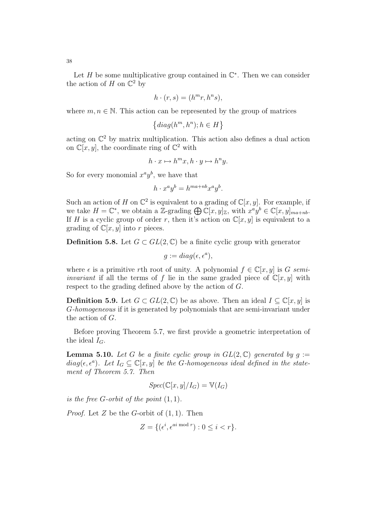38

Let H be some multiplicative group contained in  $\mathbb{C}^*$ . Then we can consider the action of H on  $\mathbb{C}^2$  by

$$
h \cdot (r, s) = (h^m r, h^n s),
$$

where  $m, n \in \mathbb{N}$ . This action can be represented by the group of matrices

$$
\{diag(h^m, h^n); h \in H\}
$$

acting on  $\mathbb{C}^2$  by matrix multiplication. This action also defines a dual action on  $\mathbb{C}[x, y]$ , the coordinate ring of  $\mathbb{C}^2$  with

$$
h \cdot x \mapsto h^m x, h \cdot y \mapsto h^n y.
$$

So for every monomial  $x^a y^b$ , we have that

$$
h \cdot x^a y^b = h^{ma+nb} x^a y^b.
$$

Such an action of H on  $\mathbb{C}^2$  is equivalent to a grading of  $\mathbb{C}[x, y]$ . For example, if Such an action of H on  $\mathbb{C}^2$  is equivalent to a grading of  $\mathbb{C}[x, y]$ . For example, if we take  $H = \mathbb{C}^*$ , we obtain a Z-grading  $\bigoplus \mathbb{C}[x, y]_{\mathbb{Z}}$ , with  $x^a y^b \in \mathbb{C}[x, y]_{ma+nb}$ . If H is a cyclic group of order r, then it's action on  $\mathbb{C}[x, y]$  is equivalent to a grading of  $\mathbb{C}[x, y]$  into r pieces.

**Definition 5.8.** Let  $G \subset GL(2,\mathbb{C})$  be a finite cyclic group with generator

$$
g := diag(\epsilon, \epsilon^a),
$$

where  $\epsilon$  is a primitive rth root of unity. A polynomial  $f \in \mathbb{C}[x, y]$  is G semi*invariant* if all the terms of f lie in the same graded piece of  $\mathbb{C}[x, y]$  with respect to the grading defined above by the action of G.

**Definition 5.9.** Let  $G \subset GL(2,\mathbb{C})$  be as above. Then an ideal  $I \subset \mathbb{C}[x,y]$  is G-homogeneous if it is generated by polynomials that are semi-invariant under the action of G.

Before proving Theorem 5.7, we first provide a geometric interpretation of the ideal  $I_G$ .

**Lemma 5.10.** Let G be a finite cyclic group in  $GL(2,\mathbb{C})$  generated by  $g :=$  $diag(\epsilon, \epsilon^a)$ . Let  $I_G \subseteq \mathbb{C}[x, y]$  be the G-homogeneous ideal defined in the statement of Theorem 5.7. Then

$$
Spec(\mathbb{C}[x,y]/I_G) = \mathbb{V}(I_G)
$$

is the free  $G$ -orbit of the point  $(1, 1)$ .

*Proof.* Let  $Z$  be the  $G$ -orbit of  $(1, 1)$ . Then

$$
Z = \{ (\epsilon^i, \epsilon^{ai \bmod r}) : 0 \le i < r \}.
$$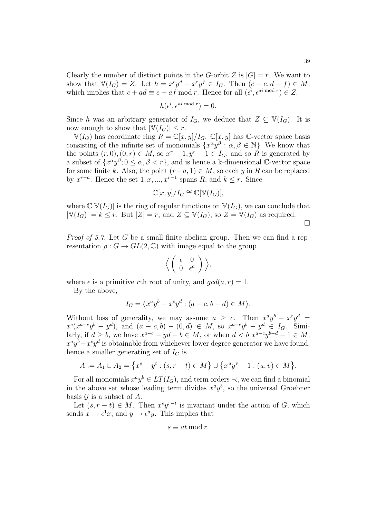Clearly the number of distinct points in the G-orbit Z is  $|G| = r$ . We want to show that  $\mathbb{V}(I_G) = Z$ . Let  $h = x^c y^d - x^e y^f \in I_G$ . Then  $(c - e, d - f) \in M$ , which implies that  $c + ad \equiv e + af \mod r$ . Hence for all  $(e^{i}, e^{ai \mod r}) \in Z$ ,

$$
h(\epsilon^i, \epsilon^{ai \bmod r}) = 0.
$$

Since h was an arbitrary generator of  $I_G$ , we deduce that  $Z \subseteq V(I_G)$ . It is now enough to show that  $|\mathbb{V}(I_G)| \leq r$ .

 $V(I_G)$  has coordinate ring  $R = \mathbb{C}[x, y]/I_G$ .  $\mathbb{C}[x, y]$  has C-vector space basis consisting of the infinite set of monomials  $\{x^{\alpha}y^{\beta} : \alpha, \beta \in \mathbb{N}\}\$ . We know that the points  $(r, 0), (0, r) \in M$ , so  $x^r - 1, y^r - 1 \in I_G$ , and so R is generated by a subset of  $\{x^{\alpha}y^{\beta}; 0 \leq \alpha, \beta < r\}$ , and is hence a k-dimensional C-vector space for some finite k. Also, the point  $(r-a, 1) \in M$ , so each y in R can be replaced by  $x^{r-a}$ . Hence the set  $1, x, ..., x^{r-1}$  spans R, and  $k \leq r$ . Since

$$
\mathbb{C}[x,y]/I_G \cong \mathbb{C}[\mathbb{V}(I_G)],
$$

where  $\mathbb{C}[\mathbb{V}(I_G)]$  is the ring of regular functions on  $\mathbb{V}(I_G)$ , we can conclude that  $|\mathbb{V}(I_G)| = k \leq r$ . But  $|Z| = r$ , and  $Z \subseteq \mathbb{V}(I_G)$ , so  $Z = \mathbb{V}(I_G)$  as required. ¤

Proof of 5.7. Let G be a small finite abelian group. Then we can find a representation  $\rho: G \to GL(2, \mathbb{C})$  with image equal to the group

$$
\Big\langle \left( \begin{array}{cc} \epsilon & 0 \\ 0 & \epsilon^a \end{array} \right) \Big\rangle,
$$

where  $\epsilon$  is a primitive rth root of unity, and  $qcd(a, r) = 1$ .

By the above,

$$
I_G = \langle x^a y^b - x^c y^d : (a - c, b - d) \in M \rangle.
$$

Without loss of generality, we may assume  $a \geq c$ . Then  $x^a y^b - x^c y^d = c$  $x^c(x^{a-c}y^b - y^d)$ , and  $(a - c, b) - (0, d) \in M$ , so  $x^{a-c}y^b - y^d \in I_G$ . Similarly, if  $d \geq b$ , we have  $x^{a-c} - yd - b \in M$ , or when  $d < b$   $x^{a-c}y^{b-d} - 1 \in M$ .  $x^a y^b - x^c y^d$  is obtainable from whichever lower degree generator we have found, hence a smaller generating set of  $I_G$  is

$$
A := A_1 \cup A_2 = \{x^s - y^t : (s, r - t) \in M\} \cup \{x^u y^v - 1 : (u, v) \in M\}.
$$

For all monomials  $x^a y^b \in LT(I_G)$ , and term orders  $\prec$ , we can find a binomial in the above set whose leading term divides  $x^a y^b$ , so the universal Groebner basis  $G$  is a subset of A.

Let  $(s, r - t) \in M$ . Then  $x^s y^{r-t}$  is invariant under the action of G, which sends  $x \to \epsilon^1 x$ , and  $y \to \epsilon^a y$ . This implies that

$$
s \equiv at \bmod r.
$$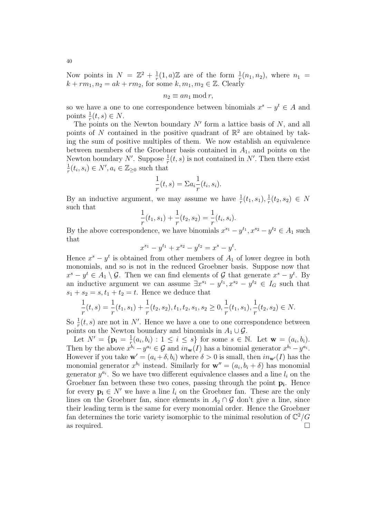Now points in  $N = \mathbb{Z}^2 + \frac{1}{n}$  $\frac{1}{r}(1,a)\mathbb{Z}$  are of the form  $\frac{1}{r}(n_1,n_2)$ , where  $n_1 =$  $k + rm_1$ ,  $n_2 = ak + rm_2$ , for some  $k, m_1, m_2 \in \mathbb{Z}$ . Clearly

$$
n_2 \equiv an_1 \bmod r,
$$

so we have a one to one correspondence between binomials  $x^s - y^t \in A$  and points  $\frac{1}{r}(t,s) \in N$ .

The points on the Newton boundary  $N'$  form a lattice basis of  $N$ , and all points of N contained in the positive quadrant of  $\mathbb{R}^2$  are obtained by taking the sum of positive multiples of them. We now establish an equivalence between members of the Groebner basis contained in  $A_1$ , and points on the Newton boundary N'. Suppose  $\frac{1}{r}(t, s)$  is not contained in N'. Then there exist 1  $\frac{1}{r}(t_i, s_i) \in \mathbb{N}'$ ,  $a_i \in \mathbb{Z}_{\geq 0}$  such that

$$
\frac{1}{r}(t,s) = \sum a_i \frac{1}{r}(t_i,s_i).
$$

By an inductive argument, we may assume we have  $\frac{1}{r}(t_1, s_1)$ ,  $\frac{1}{r}$  $\frac{1}{r}(t_2, s_2) \in N$ such that

$$
\frac{1}{r}(t_1, s_1) + \frac{1}{r}(t_2, s_2) = \frac{1}{r}(t_i, s_i).
$$

By the above correspondence, we have binomials  $x^{s_1} - y^{t_1}, x^{s_2} - y^{t_2} \in A_1$  such that

$$
x^{s_1} - y^{t_1} + x^{s_2} - y^{t_2} = x^s - y^t.
$$

Hence  $x^s - y^t$  is obtained from other members of  $A_1$  of lower degree in both monomials, and so is not in the reduced Groebner basis. Suppose now that  $x^{s}-y^{t} \in A_{1} \setminus \mathcal{G}$ . Then we can find elements of  $\mathcal{G}$  that generate  $x^{s}-y^{t}$ . By an inductive argument we can assume  $\exists x^{s_1} - y^{t_1}, x^{s_2} - y^{t_2} \in I_G$  such that  $s_1 + s_2 = s, t_1 + t_2 = t$ . Hence we deduce that

$$
\frac{1}{r}(t,s) = \frac{1}{r}(t_1,s_1) + \frac{1}{r}(t_2,s_2), t_1, t_2, s_1, s_2 \ge 0, \frac{1}{r}(t_1,s_1), \frac{1}{r}(t_2,s_2) \in N.
$$

So  $\frac{1}{r}(t,s)$  are not in N'. Hence we have a one to one correspondence between points on the Newton boundary and binomials in  $A_1 \cup G$ .

Let  $N' = \{p_i = \frac{1}{r}\}$  $\frac{1}{r}(a_i, b_i) : 1 \leq i \leq s$  for some  $s \in \mathbb{N}$ . Let  $\mathbf{w} = (a_i, b_i)$ . Then by the above  $x^{b_i} - y^{a_i} \in \mathcal{G}$  and  $in_w(I)$  has a binomial generator  $x^{b_i} - y^{a_i}$ . However if you take  $\mathbf{w}' = (a_i + \delta, b_i)$  where  $\delta > 0$  is small, then  $in_{\mathbf{w}'}(I)$  has the monomial generator  $x^{b_i}$  instead. Similarly for  $\mathbf{w}'' = (a_i, b_i + \delta)$  has monomial generator  $y^{a_i}$ . So we have two different equivalence classes and a line  $l_i$  on the Groebner fan between these two cones, passing through the point  $p_i$ . Hence for every  $\mathbf{p_i} \in \mathbb{N}'$  we have a line  $l_i$  on the Groebner fan. These are the only lines on the Groebner fan, since elements in  $A_2 \cap G$  don't give a line, since their leading term is the same for every monomial order. Hence the Groebner fan determines the toric variety isomorphic to the minimal resolution of  $\mathbb{C}^2/G$ as required.  $\Box$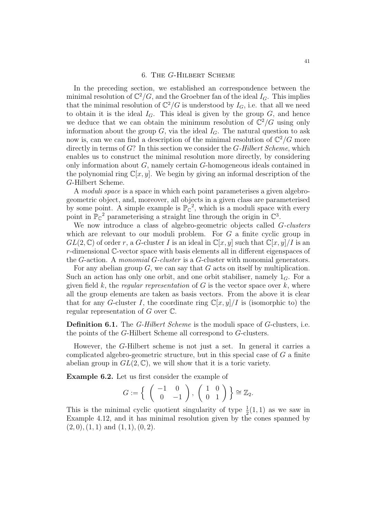## 6. The G-Hilbert Scheme

In the preceding section, we established an correspondence between the minimal resolution of  $\mathbb{C}^2/G$ , and the Groebner fan of the ideal  $I_G$ . This implies that the minimal resolution of  $\mathbb{C}^2/G$  is understood by  $I_G$ , i.e. that all we need to obtain it is the ideal  $I_G$ . This ideal is given by the group  $G$ , and hence we deduce that we can obtain the minimum resolution of  $\mathbb{C}^2/G$  using only information about the group  $G$ , via the ideal  $I_G$ . The natural question to ask now is, can we can find a description of the minimal resolution of  $\mathbb{C}^2/G$  more directly in terms of G? In this section we consider the G-Hilbert Scheme, which enables us to construct the minimal resolution more directly, by considering only information about  $G$ , namely certain  $G$ -homogeneous ideals contained in the polynomial ring  $\mathbb{C}[x, y]$ . We begin by giving an informal description of the G-Hilbert Scheme.

A moduli space is a space in which each point parameterises a given algebrogeometric object, and, moreover, all objects in a given class are parameterised by some point. A simple example is  $\mathbb{P}_{\mathbb{C}}^2$ , which is a moduli space with every point in  $\mathbb{P}_{\mathbb{C}}^2$  parameterising a straight line through the origin in  $\mathbb{C}^3$ .

We now introduce a class of algebro-geometric objects called G-clusters which are relevant to our moduli problem. For G a finite cyclic group in  $GL(2,\mathbb{C})$  of order r, a G-cluster I is an ideal in  $\mathbb{C}[x,y]$  such that  $\mathbb{C}[x,y]/I$  is an r-dimensional C-vector space with basis elements all in different eigenspaces of the G-action. A monomial G-cluster is a G-cluster with monomial generators.

For any abelian group  $G$ , we can say that  $G$  acts on itself by multiplication. Such an action has only one orbit, and one orbit stabiliser, namely  $1_G$ . For a given field  $k$ , the *regular representation* of  $G$  is the vector space over  $k$ , where all the group elements are taken as basis vectors. From the above it is clear that for any G-cluster I, the coordinate ring  $\mathbb{C}[x,y]/I$  is (isomorphic to) the regular representation of  $G$  over  $\mathbb{C}$ .

**Definition 6.1.** The *G-Hilbert Scheme* is the moduli space of *G*-clusters, i.e. the points of the G-Hilbert Scheme all correspond to G-clusters.

However, the G-Hilbert scheme is not just a set. In general it carries a complicated algebro-geometric structure, but in this special case of G a finite abelian group in  $GL(2,\mathbb{C})$ , we will show that it is a toric variety.

Example 6.2. Let us first consider the example of

$$
G := \left\{ \begin{array}{cc} -1 & 0 \\ 0 & -1 \end{array} \right), \begin{pmatrix} 1 & 0 \\ 0 & 1 \end{pmatrix} \right\} \cong \mathbb{Z}_2.
$$

This is the minimal cyclic quotient singularity of type  $\frac{1}{2}(1,1)$  as we saw in Example 4.12, and it has minimal resolution given by the cones spanned by  $(2, 0), (1, 1)$  and  $(1, 1), (0, 2)$ .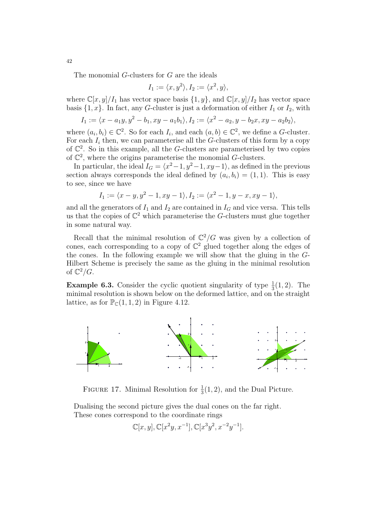The monomial G-clusters for G are the ideals

$$
I_1 := \langle x, y^2 \rangle, I_2 := \langle x^2, y \rangle,
$$

where  $\mathbb{C}[x,y]/I_1$  has vector space basis  $\{1,y\}$ , and  $\mathbb{C}[x,y]/I_2$  has vector space basis  $\{1, x\}$ . In fact, any G-cluster is just a deformation of either  $I_1$  or  $I_2$ , with

$$
I_1 := \langle x - a_1y, y^2 - b_1, xy - a_1b_1 \rangle, I_2 := \langle x^2 - a_2, y - b_2x, xy - a_2b_2 \rangle,
$$

where  $(a_i, b_i) \in \mathbb{C}^2$ . So for each  $I_i$ , and each  $(a, b) \in \mathbb{C}^2$ , we define a G-cluster. For each  $I_i$  then, we can parameterise all the G-clusters of this form by a copy of  $\mathbb{C}^2$ . So in this example, all the G-clusters are parameterised by two copies of  $\mathbb{C}^2$ , where the origins parameterise the monomial G-clusters.

In particular, the ideal  $I_G = \langle x^2 - 1, y^2 - 1, xy - 1 \rangle$ , as defined in the previous section always corresponds the ideal defined by  $(a_i, b_i) = (1, 1)$ . This is easy to see, since we have

$$
I_1 := \langle x - y, y^2 - 1, xy - 1 \rangle, I_2 := \langle x^2 - 1, y - x, xy - 1 \rangle,
$$

and all the generators of  $I_1$  and  $I_2$  are contained in  $I_G$  and vice versa. This tells us that the copies of  $\mathbb{C}^2$  which parameterise the G-clusters must glue together in some natural way.

Recall that the minimal resolution of  $\mathbb{C}^2/G$  was given by a collection of cones, each corresponding to a copy of  $\mathbb{C}^2$  glued together along the edges of the cones. In the following example we will show that the gluing in the G-Hilbert Scheme is precisely the same as the gluing in the minimal resolution of  $\mathbb{C}^2/G$ .

**Example 6.3.** Consider the cyclic quotient singularity of type  $\frac{1}{3}(1,2)$ . The minimal resolution is shown below on the deformed lattice, and on the straight lattice, as for  $\mathbb{P}_{\mathbb{C}}(1,1,2)$  in Figure 4.12.



FIGURE 17. Minimal Resolution for  $\frac{1}{3}(1, 2)$ , and the Dual Picture.

Dualising the second picture gives the dual cones on the far right. These cones correspond to the coordinate rings

$$
\mathbb{C}[x,y], \mathbb{C}[x^2y, x^{-1}], \mathbb{C}[x^3y^2, x^{-2}y^{-1}].
$$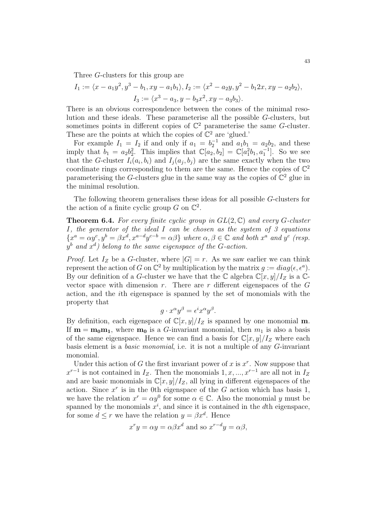Three G-clusters for this group are

$$
I_1 := \langle x - a_1 y^2, y^3 - b_1, xy - a_1 b_1 \rangle, I_2 := \langle x^2 - a_2 y, y^2 - b_1 2x, xy - a_2 b_2 \rangle,
$$
  

$$
I_3 := \langle x^3 - a_3, y - b_3 x^2, xy - a_3 b_3 \rangle.
$$

There is an obvious correspondence between the cones of the minimal resolution and these ideals. These parameterise all the possible G-clusters, but sometimes points in different copies of  $\mathbb{C}^2$  parameterise the same G-cluster. These are the points at which the copies of  $\mathbb{C}^2$  are 'glued.'

For example  $I_1 = I_2$  if and only if  $a_1 = b_2^{-1}$  and  $a_1b_1 = a_2b_2$ , and these imply that  $b_1 = a_2 b_2^2$ . This implies that  $\mathbb{C}[a_2, b_2] = \mathbb{C}[a_1^2 b_1, a_1^{-1}]$ . So we see that the G-cluster  $I_i(a_i, b_i)$  and  $I_j(a_j, b_j)$  are the same exactly when the two coordinate rings corresponding to them are the same. Hence the copies of  $\mathbb{C}^2$ parameterising the G-clusters glue in the same way as the copies of  $\mathbb{C}^2$  glue in the minimal resolution.

The following theorem generalises these ideas for all possible G-clusters for the action of a finite cyclic group G on  $\mathbb{C}^2$ .

**Theorem 6.4.** For every finite cyclic group in  $GL(2,\mathbb{C})$  and every G-cluster I, the generator of the ideal I can be chosen as the system of 3 equations  ${x^a = \alpha y^c, y^b = \beta x^d, x^{a-d}y^{c-b} = \alpha \beta}$  where  $\alpha, \beta \in \mathbb{C}$  and both  $x^a$  and  $y^c$  (resp.  $y^b$  and  $x^d$ ) belong to the same eigenspace of the G-action.

*Proof.* Let  $I_z$  be a G-cluster, where  $|G| = r$ . As we saw earlier we can think represent the action of G on  $\mathbb{C}^2$  by multiplication by the matrix  $g := diag(\epsilon, \epsilon^a)$ . By our definition of a G-cluster we have that the  $\mathbb C$  algebra  $\mathbb C[x,y]/I_Z$  is a  $\mathbb C$ vector space with dimension r. There are r different eigenspaces of the  $G$ action, and the ith eigenspace is spanned by the set of monomials with the property that

$$
g \cdot x^{\alpha} y^{\beta} = \epsilon^i x^{\alpha} y^{\beta}.
$$

By definition, each eigenspace of  $\mathbb{C}[x,y]/I_z$  is spanned by one monomial m. If  $m = m_0m_1$ , where  $m_0$  is a G-invariant monomial, then  $m_1$  is also a basis of the same eigenspace. Hence we can find a basis for  $\mathbb{C}[x,y]/I_z$  where each basis element is a basic monomial, i.e. it is not a multiple of any G-invariant monomial.

Under this action of G the first invariant power of  $x$  is  $x^r$ . Now suppose that  $x^{r-1}$  is not contained in  $I_z$ . Then the monomials  $1, x, ..., x^{r-1}$  are all not in  $I_z$ and are basic monomials in  $\mathbb{C}[x,y]/I_z$ , all lying in different eigenspaces of the action. Since  $x^r$  is in the 0th eigenspace of the G action which has basis 1, we have the relation  $x^r = \alpha y^0$  for some  $\alpha \in \mathbb{C}$ . Also the monomial y must be spanned by the monomials  $x^i$ , and since it is contained in the dth eigenspace, for some  $d \leq r$  we have the relation  $y = \beta x^d$ . Hence

$$
x^r y = \alpha y = \alpha \beta x^d
$$
 and so  $x^{r-d} y = \alpha \beta$ ,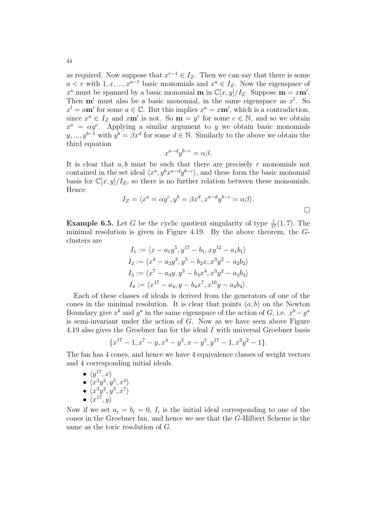as required. Now suppose that  $x^{r-1} \in I_Z$ . Then we can say that there is some  $a < r$  with  $1, x, ..., x^{a-1}$  basic monomials and  $x^a \in I_Z$ . Now the eigenspace of  $x^a$  must be spanned by a basic monomial **m** in  $\mathbb{C}[x,y]/I_z$ . Suppose **m** = x**m'**. Then  $\mathbf{m}'$  must also be a basic monomial, in the same eigenspace as  $x^l$ . So  $x^{l} = a$ **m**' for some  $a \in \mathbb{C}$ . But this implies  $x^{a} = x$ **m'**, which is a contradiction, since  $x^a \in I_Z$  and  $x \mathbf{m}'$  is not. So  $\mathbf{m} = y^c$  for some  $c \in \mathbb{N}$ , and so we obtain  $x^a = \alpha y^c$ . Applying a similar argument to y we obtain basic monomials  $y, ..., y^{b-1}$  with  $y^b = \beta x^d$  for some  $d \in \mathbb{N}$ . Similarly to the above we obtain the third equation

$$
x^{a-d}y^{b-c} = \alpha\beta.
$$

It is clear that  $a, b$  must be such that there are precisely r monomials not contained in the set ideal  $\langle x^a, y^b x^{a-d} y^{b-c} \rangle$ , and these form the basic monomial basis for  $\mathbb{C}[x,y]/I_z$ , so there is no further relation between these monomials. Hence

$$
I_Z = \langle x^a = \alpha y^c, y^b = \beta x^d, x^{a-d} y^{b-c} = \alpha \beta \rangle.
$$

**Example 6.5.** Let G be the cyclic quotient singularity of type  $\frac{1}{17}(1,7)$ . The minimal resolution is given in Figure 4.19. By the above theorem, the Gclusters are

$$
I_1 := \langle x - a_1 y^5, y^{17} - b_1, xy^{12} - a_1 b_1 \rangle
$$
  
\n
$$
I_2 := \langle x^4 - a_2 y^3, y^5 - b_2 x, x^3 y^2 - a_2 b_2 \rangle
$$
  
\n
$$
I_3 := \langle x^7 - a_3 y, y^3 - b_3 x^4, x^3 y^2 - a_3 b_3 \rangle
$$
  
\n
$$
I_4 := \langle x^{17} - a_4, y - b_4 x^7, x^{10} y - a_4 b_4 \rangle.
$$

Each of these classes of ideals is derived from the generators of one of the cones in the minimal resolution. It is clear that points  $(a, b)$  on the Newton Boundary give  $x^b$  and  $y^a$  in the same eigenspace of the action of G, i.e.  $x^b - y^a$ is semi-invariant under the action of  $G$ . Now as we have seen above Figure 4.19 also gives the Groebner fan for the ideal I with universal Groebner basis

$$
\{x^{17}-1, x^7-y, x^4-y^3, x-y^5, y^{17}-1, x^3y^2-1\}.
$$

The fan has 4 cones, and hence we have 4 equivalence classes of weight vectors and 4 corresponding initial ideals.

\n- $$
\langle y^{17}, x \rangle
$$
\n- $\langle x^3y^2, y^5, x^4 \rangle$
\n- $\langle x^3y^2, y^3, x^7 \rangle$
\n- $\langle x^{17}, y \rangle$
\n

Now if we set  $a_i = b_i = 0$ ,  $I_i$  is the initial ideal corresponding to one of the cones in the Groebner fan, and hence we see that the G-Hilbert Scheme is the same as the toric resolution of G.